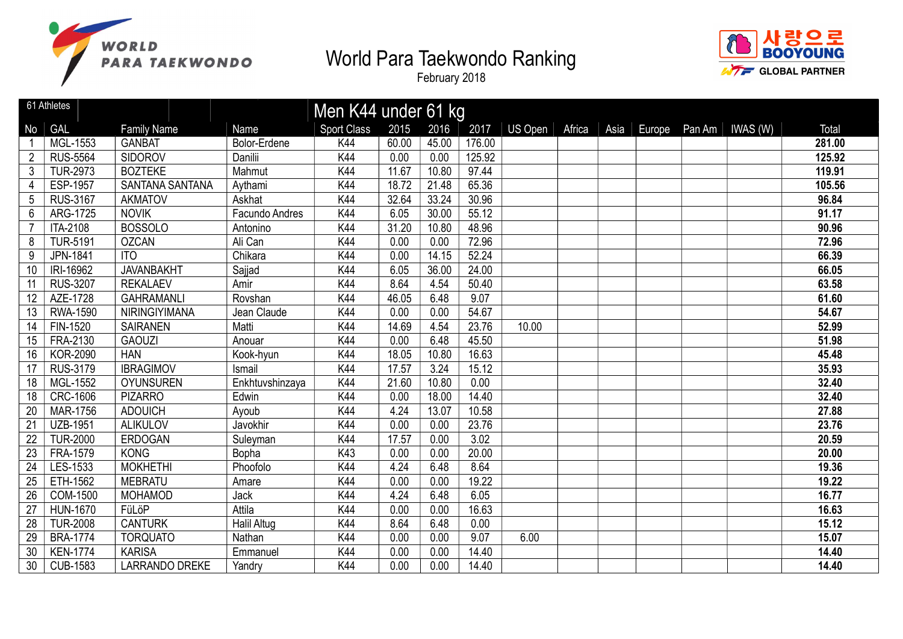



|                 | 61 Athletes     |                        |                    | Men K44 under 61 kg |       |       |        |                |        |      |        |                 |        |
|-----------------|-----------------|------------------------|--------------------|---------------------|-------|-------|--------|----------------|--------|------|--------|-----------------|--------|
| No              | <b>GAL</b>      | <b>Family Name</b>     | Name               | <b>Sport Class</b>  | 2015  | 2016  | 2017   | <b>US Open</b> | Africa | Asia | Europe | Pan Am IWAS (W) | Total  |
|                 | MGL-1553        | <b>GANBAT</b>          | Bolor-Erdene       | K44                 | 60.00 | 45.00 | 176.00 |                |        |      |        |                 | 281.00 |
| $\overline{2}$  | <b>RUS-5564</b> | <b>SIDOROV</b>         | Danilii            | K44                 | 0.00  | 0.00  | 125.92 |                |        |      |        |                 | 125.92 |
| 3               | <b>TUR-2973</b> | <b>BOZTEKE</b>         | Mahmut             | K44                 | 11.67 | 10.80 | 97.44  |                |        |      |        |                 | 119.91 |
| 4               | <b>ESP-1957</b> | <b>SANTANA SANTANA</b> | Aythami            | K44                 | 18.72 | 21.48 | 65.36  |                |        |      |        |                 | 105.56 |
| 5               | <b>RUS-3167</b> | <b>AKMATOV</b>         | Askhat             | K44                 | 32.64 | 33.24 | 30.96  |                |        |      |        |                 | 96.84  |
| $6\phantom{a}$  | ARG-1725        | <b>NOVIK</b>           | Facundo Andres     | K44                 | 6.05  | 30.00 | 55.12  |                |        |      |        |                 | 91.17  |
|                 | ITA-2108        | <b>BOSSOLO</b>         | Antonino           | K44                 | 31.20 | 10.80 | 48.96  |                |        |      |        |                 | 90.96  |
| 8               | <b>TUR-5191</b> | <b>OZCAN</b>           | Ali Can            | K44                 | 0.00  | 0.00  | 72.96  |                |        |      |        |                 | 72.96  |
| 9               | JPN-1841        | <b>ITO</b>             | Chikara            | K44                 | 0.00  | 14.15 | 52.24  |                |        |      |        |                 | 66.39  |
| 10              | IRI-16962       | <b>JAVANBAKHT</b>      | Sajjad             | K44                 | 6.05  | 36.00 | 24.00  |                |        |      |        |                 | 66.05  |
| 11              | <b>RUS-3207</b> | <b>REKALAEV</b>        | Amir               | K44                 | 8.64  | 4.54  | 50.40  |                |        |      |        |                 | 63.58  |
| 12              | AZE-1728        | <b>GAHRAMANLI</b>      | Rovshan            | K44                 | 46.05 | 6.48  | 9.07   |                |        |      |        |                 | 61.60  |
| 13              | <b>RWA-1590</b> | NIRINGIYIMANA          | Jean Claude        | K44                 | 0.00  | 0.00  | 54.67  |                |        |      |        |                 | 54.67  |
| 14              | FIN-1520        | <b>SAIRANEN</b>        | Matti              | K44                 | 14.69 | 4.54  | 23.76  | 10.00          |        |      |        |                 | 52.99  |
| 15              | FRA-2130        | <b>GAOUZI</b>          | Anouar             | K44                 | 0.00  | 6.48  | 45.50  |                |        |      |        |                 | 51.98  |
| 16              | <b>KOR-2090</b> | <b>HAN</b>             | Kook-hyun          | K44                 | 18.05 | 10.80 | 16.63  |                |        |      |        |                 | 45.48  |
| 17              | <b>RUS-3179</b> | <b>IBRAGIMOV</b>       | Ismail             | K44                 | 17.57 | 3.24  | 15.12  |                |        |      |        |                 | 35.93  |
| 18              | MGL-1552        | <b>OYUNSUREN</b>       | Enkhtuvshinzaya    | K44                 | 21.60 | 10.80 | 0.00   |                |        |      |        |                 | 32.40  |
| 18              | <b>CRC-1606</b> | <b>PIZARRO</b>         | Edwin              | K44                 | 0.00  | 18.00 | 14.40  |                |        |      |        |                 | 32.40  |
| 20              | <b>MAR-1756</b> | <b>ADOUICH</b>         | Ayoub              | K44                 | 4.24  | 13.07 | 10.58  |                |        |      |        |                 | 27.88  |
| 21              | <b>UZB-1951</b> | <b>ALIKULOV</b>        | Javokhir           | K44                 | 0.00  | 0.00  | 23.76  |                |        |      |        |                 | 23.76  |
| 22              | <b>TUR-2000</b> | <b>ERDOGAN</b>         | Suleyman           | K44                 | 17.57 | 0.00  | 3.02   |                |        |      |        |                 | 20.59  |
| 23              | FRA-1579        | <b>KONG</b>            | Bopha              | K43                 | 0.00  | 0.00  | 20.00  |                |        |      |        |                 | 20.00  |
| $\overline{24}$ | LES-1533        | <b>MOKHETHI</b>        | Phoofolo           | K44                 | 4.24  | 6.48  | 8.64   |                |        |      |        |                 | 19.36  |
| 25              | ETH-1562        | <b>MEBRATU</b>         | Amare              | K44                 | 0.00  | 0.00  | 19.22  |                |        |      |        |                 | 19.22  |
| 26              | COM-1500        | <b>MOHAMOD</b>         | Jack               | K44                 | 4.24  | 6.48  | 6.05   |                |        |      |        |                 | 16.77  |
| 27              | <b>HUN-1670</b> | FüLöP                  | Attila             | K44                 | 0.00  | 0.00  | 16.63  |                |        |      |        |                 | 16.63  |
| 28              | <b>TUR-2008</b> | <b>CANTURK</b>         | <b>Halil Altug</b> | K44                 | 8.64  | 6.48  | 0.00   |                |        |      |        |                 | 15.12  |
| 29              | <b>BRA-1774</b> | <b>TORQUATO</b>        | Nathan             | K44                 | 0.00  | 0.00  | 9.07   | 6.00           |        |      |        |                 | 15.07  |
| 30              | <b>KEN-1774</b> | <b>KARISA</b>          | Emmanuel           | K44                 | 0.00  | 0.00  | 14.40  |                |        |      |        |                 | 14.40  |
| 30              | <b>CUB-1583</b> | <b>LARRANDO DREKE</b>  | Yandry             | K44                 | 0.00  | 0.00  | 14.40  |                |        |      |        |                 | 14.40  |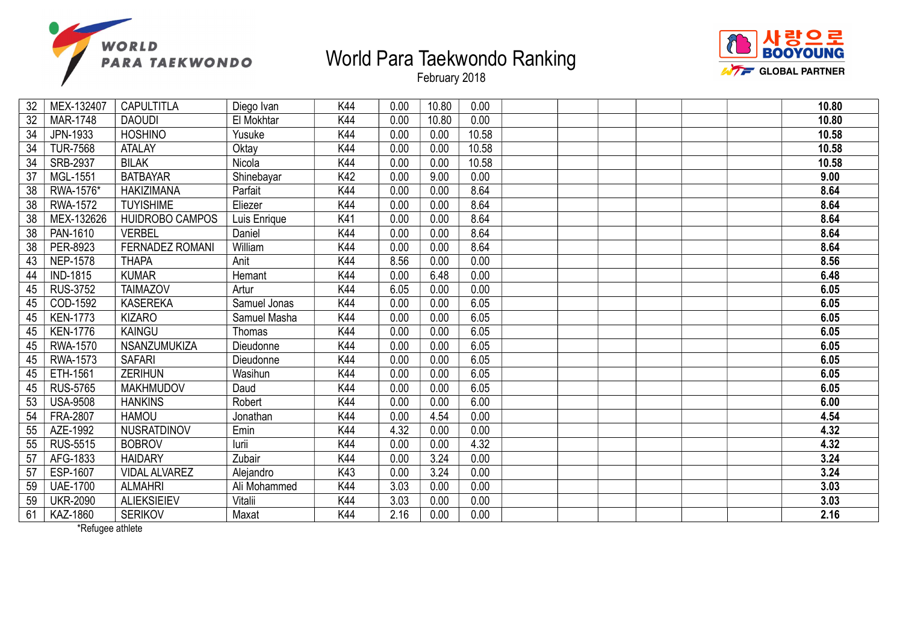



February 2018

| 32              | MEX-132407      | <b>CAPULTITLA</b>      | Diego Ivan   | K44 | 0.00 | 10.80 | 0.00  |  |  | 10.80 |
|-----------------|-----------------|------------------------|--------------|-----|------|-------|-------|--|--|-------|
| 32              | <b>MAR-1748</b> | <b>DAOUDI</b>          | El Mokhtar   | K44 | 0.00 | 10.80 | 0.00  |  |  | 10.80 |
| 34              | JPN-1933        | <b>HOSHINO</b>         | Yusuke       | K44 | 0.00 | 0.00  | 10.58 |  |  | 10.58 |
| 34              | <b>TUR-7568</b> | <b>ATALAY</b>          | Oktay        | K44 | 0.00 | 0.00  | 10.58 |  |  | 10.58 |
| 34              | SRB-2937        | <b>BILAK</b>           | Nicola       | K44 | 0.00 | 0.00  | 10.58 |  |  | 10.58 |
| 37              | MGL-1551        | <b>BATBAYAR</b>        | Shinebayar   | K42 | 0.00 | 9.00  | 0.00  |  |  | 9.00  |
| 38              | RWA-1576*       | <b>HAKIZIMANA</b>      | Parfait      | K44 | 0.00 | 0.00  | 8.64  |  |  | 8.64  |
| 38              | <b>RWA-1572</b> | <b>TUYISHIME</b>       | Eliezer      | K44 | 0.00 | 0.00  | 8.64  |  |  | 8.64  |
| 38              | MEX-132626      | HUIDROBO CAMPOS        | Luis Enrique | K41 | 0.00 | 0.00  | 8.64  |  |  | 8.64  |
| 38              | PAN-1610        | <b>VERBEL</b>          | Daniel       | K44 | 0.00 | 0.00  | 8.64  |  |  | 8.64  |
| $\overline{38}$ | PER-8923        | <b>FERNADEZ ROMANI</b> | William      | K44 | 0.00 | 0.00  | 8.64  |  |  | 8.64  |
| 43              | <b>NEP-1578</b> | <b>THAPA</b>           | Anit         | K44 | 8.56 | 0.00  | 0.00  |  |  | 8.56  |
| 44              | <b>IND-1815</b> | <b>KUMAR</b>           | Hemant       | K44 | 0.00 | 6.48  | 0.00  |  |  | 6.48  |
| 45              | <b>RUS-3752</b> | <b>TAIMAZOV</b>        | Artur        | K44 | 6.05 | 0.00  | 0.00  |  |  | 6.05  |
| 45              | COD-1592        | <b>KASEREKA</b>        | Samuel Jonas | K44 | 0.00 | 0.00  | 6.05  |  |  | 6.05  |
| 45              | <b>KEN-1773</b> | <b>KIZARO</b>          | Samuel Masha | K44 | 0.00 | 0.00  | 6.05  |  |  | 6.05  |
| 45              | <b>KEN-1776</b> | KAINGU                 | Thomas       | K44 | 0.00 | 0.00  | 6.05  |  |  | 6.05  |
| 45              | <b>RWA-1570</b> | NSANZUMUKIZA           | Dieudonne    | K44 | 0.00 | 0.00  | 6.05  |  |  | 6.05  |
| 45              | RWA-1573        | <b>SAFARI</b>          | Dieudonne    | K44 | 0.00 | 0.00  | 6.05  |  |  | 6.05  |
| 45              | ETH-1561        | <b>ZERIHUN</b>         | Wasihun      | K44 | 0.00 | 0.00  | 6.05  |  |  | 6.05  |
| 45              | <b>RUS-5765</b> | <b>MAKHMUDOV</b>       | Daud         | K44 | 0.00 | 0.00  | 6.05  |  |  | 6.05  |
| 53              | <b>USA-9508</b> | <b>HANKINS</b>         | Robert       | K44 | 0.00 | 0.00  | 6.00  |  |  | 6.00  |
| 54              | FRA-2807        | <b>HAMOU</b>           | Jonathan     | K44 | 0.00 | 4.54  | 0.00  |  |  | 4.54  |
| 55              | AZE-1992        | NUSRATDINOV            | Emin         | K44 | 4.32 | 0.00  | 0.00  |  |  | 4.32  |
| 55              | <b>RUS-5515</b> | <b>BOBROV</b>          | lurii        | K44 | 0.00 | 0.00  | 4.32  |  |  | 4.32  |
| 57              | AFG-1833        | <b>HAIDARY</b>         | Zubair       | K44 | 0.00 | 3.24  | 0.00  |  |  | 3.24  |
| 57              | ESP-1607        | <b>VIDAL ALVAREZ</b>   | Alejandro    | K43 | 0.00 | 3.24  | 0.00  |  |  | 3.24  |
| 59              | <b>UAE-1700</b> | <b>ALMAHRI</b>         | Ali Mohammed | K44 | 3.03 | 0.00  | 0.00  |  |  | 3.03  |
| 59              | <b>UKR-2090</b> | <b>ALIEKSIEIEV</b>     | Vitalii      | K44 | 3.03 | 0.00  | 0.00  |  |  | 3.03  |
| 61              | KAZ-1860        | <b>SERIKOV</b>         | Maxat        | K44 | 2.16 | 0.00  | 0.00  |  |  | 2.16  |

\*Refugee athlete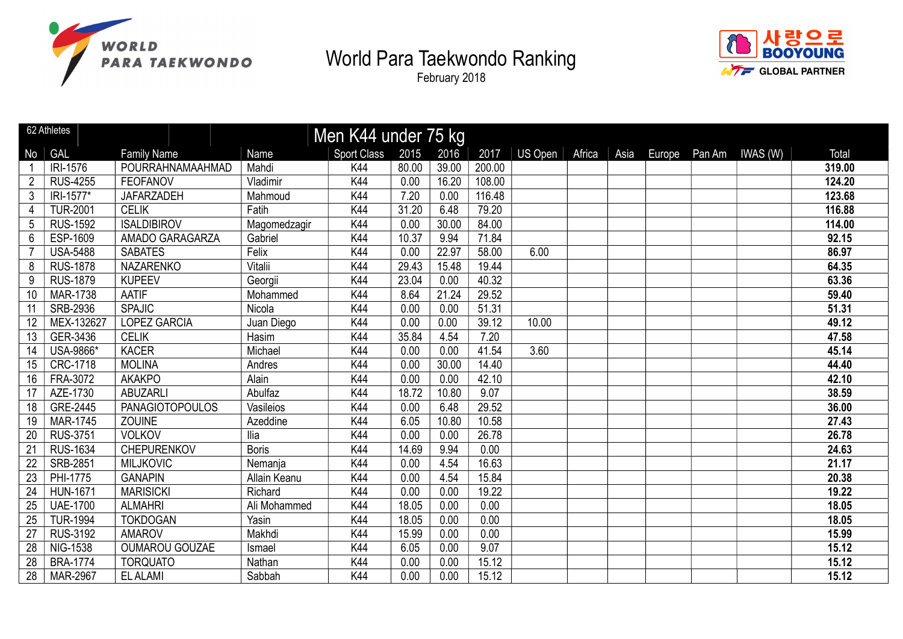



|                 | 62 Athletes     |                        |              | Men K44 under 75 kg |       |       |        |                |        |      |        |        |          |        |
|-----------------|-----------------|------------------------|--------------|---------------------|-------|-------|--------|----------------|--------|------|--------|--------|----------|--------|
| No              | <b>GAL</b>      | <b>Family Name</b>     | Name         | <b>Sport Class</b>  | 2015  | 2016  | 2017   | <b>US Open</b> | Africa | Asia | Europe | Pan Am | IWAS (W) | Total  |
|                 | <b>IRI-1576</b> | POURRAHNAMAAHMAD       | Mahdi        | K44                 | 80.00 | 39.00 | 200.00 |                |        |      |        |        |          | 319.00 |
| $\overline{2}$  | <b>RUS-4255</b> | <b>FEOFANOV</b>        | Vladimir     | K44                 | 0.00  | 16.20 | 108.00 |                |        |      |        |        |          | 124.20 |
| $\mathfrak{Z}$  | IRI-1577*       | <b>JAFARZADEH</b>      | Mahmoud      | K44                 | 7.20  | 0.00  | 116.48 |                |        |      |        |        |          | 123.68 |
| 4               | <b>TUR-2001</b> | <b>CELIK</b>           | Fatih        | K44                 | 31.20 | 6.48  | 79.20  |                |        |      |        |        |          | 116.88 |
| 5               | <b>RUS-1592</b> | <b>ISALDIBIROV</b>     | Magomedzagir | K44                 | 0.00  | 30.00 | 84.00  |                |        |      |        |        |          | 114.00 |
| 6               | ESP-1609        | AMADO GARAGARZA        | Gabriel      | K44                 | 10.37 | 9.94  | 71.84  |                |        |      |        |        |          | 92.15  |
| $\overline{7}$  | <b>USA-5488</b> | <b>SABATES</b>         | Felix        | K44                 | 0.00  | 22.97 | 58.00  | 6.00           |        |      |        |        |          | 86.97  |
| 8               | <b>RUS-1878</b> | <b>NAZARENKO</b>       | Vitalii      | K44                 | 29.43 | 15.48 | 19.44  |                |        |      |        |        |          | 64.35  |
| 9               | <b>RUS-1879</b> | <b>KUPEEV</b>          | Georgii      | K44                 | 23.04 | 0.00  | 40.32  |                |        |      |        |        |          | 63.36  |
| 10              | <b>MAR-1738</b> | <b>AATIF</b>           | Mohammed     | K44                 | 8.64  | 21.24 | 29.52  |                |        |      |        |        |          | 59.40  |
| 11              | <b>SRB-2936</b> | <b>SPAJIC</b>          | Nicola       | K44                 | 0.00  | 0.00  | 51.31  |                |        |      |        |        |          | 51.31  |
| 12              | MEX-132627      | <b>LOPEZ GARCIA</b>    | Juan Diego   | K44                 | 0.00  | 0.00  | 39.12  | 10.00          |        |      |        |        |          | 49.12  |
| 13              | GER-3436        | <b>CELIK</b>           | Hasim        | K44                 | 35.84 | 4.54  | 7.20   |                |        |      |        |        |          | 47.58  |
| 14              | USA-9866*       | <b>KACER</b>           | Michael      | K44                 | 0.00  | 0.00  | 41.54  | 3.60           |        |      |        |        |          | 45.14  |
| 15              | <b>CRC-1718</b> | <b>MOLINA</b>          | Andres       | K44                 | 0.00  | 30.00 | 14.40  |                |        |      |        |        |          | 44.40  |
| 16              | FRA-3072        | <b>AKAKPO</b>          | Alain        | K44                 | 0.00  | 0.00  | 42.10  |                |        |      |        |        |          | 42.10  |
| 17              | AZE-1730        | <b>ABUZARLI</b>        | Abulfaz      | K44                 | 18.72 | 10.80 | 9.07   |                |        |      |        |        |          | 38.59  |
| 18              | GRE-2445        | <b>PANAGIOTOPOULOS</b> | Vasileios    | K44                 | 0.00  | 6.48  | 29.52  |                |        |      |        |        |          | 36.00  |
| 19              | <b>MAR-1745</b> | <b>ZOUINE</b>          | Azeddine     | K44                 | 6.05  | 10.80 | 10.58  |                |        |      |        |        |          | 27.43  |
| 20              | <b>RUS-3751</b> | <b>VOLKOV</b>          | Ilia         | K44                 | 0.00  | 0.00  | 26.78  |                |        |      |        |        |          | 26.78  |
| 21              | <b>RUS-1634</b> | CHEPURENKOV            | <b>Boris</b> | K44                 | 14.69 | 9.94  | 0.00   |                |        |      |        |        |          | 24.63  |
| 22              | <b>SRB-2851</b> | <b>MILJKOVIC</b>       | Nemanja      | K44                 | 0.00  | 4.54  | 16.63  |                |        |      |        |        |          | 21.17  |
| 23              | PHI-1775        | <b>GANAPIN</b>         | Allain Keanu | K44                 | 0.00  | 4.54  | 15.84  |                |        |      |        |        |          | 20.38  |
| 24              | <b>HUN-1671</b> | <b>MARISICKI</b>       | Richard      | K44                 | 0.00  | 0.00  | 19.22  |                |        |      |        |        |          | 19.22  |
| 25              | <b>UAE-1700</b> | <b>ALMAHRI</b>         | Ali Mohammed | K44                 | 18.05 | 0.00  | 0.00   |                |        |      |        |        |          | 18.05  |
| 25              | <b>TUR-1994</b> | <b>TOKDOGAN</b>        | Yasin        | K44                 | 18.05 | 0.00  | 0.00   |                |        |      |        |        |          | 18.05  |
| $\overline{27}$ | <b>RUS-3192</b> | <b>AMAROV</b>          | Makhdi       | K44                 | 15.99 | 0.00  | 0.00   |                |        |      |        |        |          | 15.99  |
| 28              | <b>NIG-1538</b> | <b>OUMAROU GOUZAE</b>  | Ismael       | K44                 | 6.05  | 0.00  | 9.07   |                |        |      |        |        |          | 15.12  |
| 28              | <b>BRA-1774</b> | <b>TORQUATO</b>        | Nathan       | K44                 | 0.00  | 0.00  | 15.12  |                |        |      |        |        |          | 15.12  |
| 28              | MAR-2967        | <b>EL ALAMI</b>        | Sabbah       | K44                 | 0.00  | 0.00  | 15.12  |                |        |      |        |        |          | 15.12  |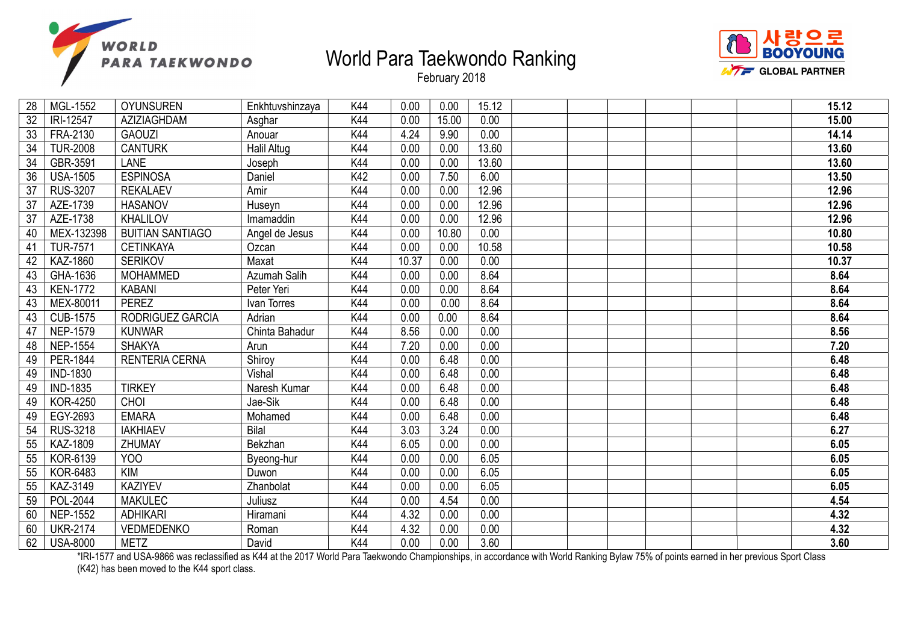



February 2018

| 28 | MGL-1552        | <b>OYUNSUREN</b>        | Enkhtuvshinzaya    | K44 | 0.00  | 0.00  | 15.12 |  |  | 15.12 |
|----|-----------------|-------------------------|--------------------|-----|-------|-------|-------|--|--|-------|
| 32 | IRI-12547       | AZIZIAGHDAM             | Asghar             | K44 | 0.00  | 15.00 | 0.00  |  |  | 15.00 |
| 33 | FRA-2130        | <b>GAOUZI</b>           | Anouar             | K44 | 4.24  | 9.90  | 0.00  |  |  | 14.14 |
| 34 | <b>TUR-2008</b> | <b>CANTURK</b>          | <b>Halil Altug</b> | K44 | 0.00  | 0.00  | 13.60 |  |  | 13.60 |
| 34 | GBR-3591        | <b>LANE</b>             | Joseph             | K44 | 0.00  | 0.00  | 13.60 |  |  | 13.60 |
| 36 | <b>USA-1505</b> | <b>ESPINOSA</b>         | Daniel             | K42 | 0.00  | 7.50  | 6.00  |  |  | 13.50 |
| 37 | <b>RUS-3207</b> | <b>REKALAEV</b>         | Amir               | K44 | 0.00  | 0.00  | 12.96 |  |  | 12.96 |
| 37 | AZE-1739        | <b>HASANOV</b>          | Huseyn             | K44 | 0.00  | 0.00  | 12.96 |  |  | 12.96 |
| 37 | AZE-1738        | KHALILOV                | Imamaddin          | K44 | 0.00  | 0.00  | 12.96 |  |  | 12.96 |
| 40 | MEX-132398      | <b>BUITIAN SANTIAGO</b> | Angel de Jesus     | K44 | 0.00  | 10.80 | 0.00  |  |  | 10.80 |
| 41 | <b>TUR-7571</b> | <b>CETINKAYA</b>        | Ozcan              | K44 | 0.00  | 0.00  | 10.58 |  |  | 10.58 |
| 42 | <b>KAZ-1860</b> | <b>SERIKOV</b>          | Maxat              | K44 | 10.37 | 0.00  | 0.00  |  |  | 10.37 |
| 43 | GHA-1636        | <b>MOHAMMED</b>         | Azumah Salih       | K44 | 0.00  | 0.00  | 8.64  |  |  | 8.64  |
| 43 | <b>KEN-1772</b> | <b>KABANI</b>           | Peter Yeri         | K44 | 0.00  | 0.00  | 8.64  |  |  | 8.64  |
| 43 | MEX-80011       | <b>PEREZ</b>            | Ivan Torres        | K44 | 0.00  | 0.00  | 8.64  |  |  | 8.64  |
| 43 | <b>CUB-1575</b> | RODRIGUEZ GARCIA        | Adrian             | K44 | 0.00  | 0.00  | 8.64  |  |  | 8.64  |
| 47 | <b>NEP-1579</b> | <b>KUNWAR</b>           | Chinta Bahadur     | K44 | 8.56  | 0.00  | 0.00  |  |  | 8.56  |
| 48 | <b>NEP-1554</b> | <b>SHAKYA</b>           | Arun               | K44 | 7.20  | 0.00  | 0.00  |  |  | 7.20  |
| 49 | PER-1844        | <b>RENTERIA CERNA</b>   | Shirov             | K44 | 0.00  | 6.48  | 0.00  |  |  | 6.48  |
| 49 | <b>IND-1830</b> |                         | Vishal             | K44 | 0.00  | 6.48  | 0.00  |  |  | 6.48  |
| 49 | <b>IND-1835</b> | <b>TIRKEY</b>           | Naresh Kumar       | K44 | 0.00  | 6.48  | 0.00  |  |  | 6.48  |
| 49 | <b>KOR-4250</b> | CHOI                    | Jae-Sik            | K44 | 0.00  | 6.48  | 0.00  |  |  | 6.48  |
| 49 | EGY-2693        | <b>EMARA</b>            | Mohamed            | K44 | 0.00  | 6.48  | 0.00  |  |  | 6.48  |
| 54 | <b>RUS-3218</b> | <b>IAKHIAEV</b>         | <b>Bilal</b>       | K44 | 3.03  | 3.24  | 0.00  |  |  | 6.27  |
| 55 | KAZ-1809        | ZHUMAY                  | Bekzhan            | K44 | 6.05  | 0.00  | 0.00  |  |  | 6.05  |
| 55 | KOR-6139        | YOO                     | Byeong-hur         | K44 | 0.00  | 0.00  | 6.05  |  |  | 6.05  |
| 55 | <b>KOR-6483</b> | <b>KIM</b>              | Duwon              | K44 | 0.00  | 0.00  | 6.05  |  |  | 6.05  |
| 55 | KAZ-3149        | <b>KAZIYEV</b>          | Zhanbolat          | K44 | 0.00  | 0.00  | 6.05  |  |  | 6.05  |
| 59 | POL-2044        | <b>MAKULEC</b>          | Juliusz            | K44 | 0.00  | 4.54  | 0.00  |  |  | 4.54  |
| 60 | <b>NEP-1552</b> | <b>ADHIKARI</b>         | Hiramani           | K44 | 4.32  | 0.00  | 0.00  |  |  | 4.32  |
| 60 | <b>UKR-2174</b> | <b>VEDMEDENKO</b>       | Roman              | K44 | 4.32  | 0.00  | 0.00  |  |  | 4.32  |
| 62 | <b>USA-8000</b> | <b>METZ</b>             | David              | K44 | 0.00  | 0.00  | 3.60  |  |  | 3.60  |
|    |                 |                         |                    |     |       |       |       |  |  |       |

\*IRI-1577 and USA-9866 was reclassified as K44 at the 2017 World Para Taekwondo Championships, in accordance with World Ranking Bylaw 75% of points earned in her previous Sport Class (K42) has been moved to the K44 sport class.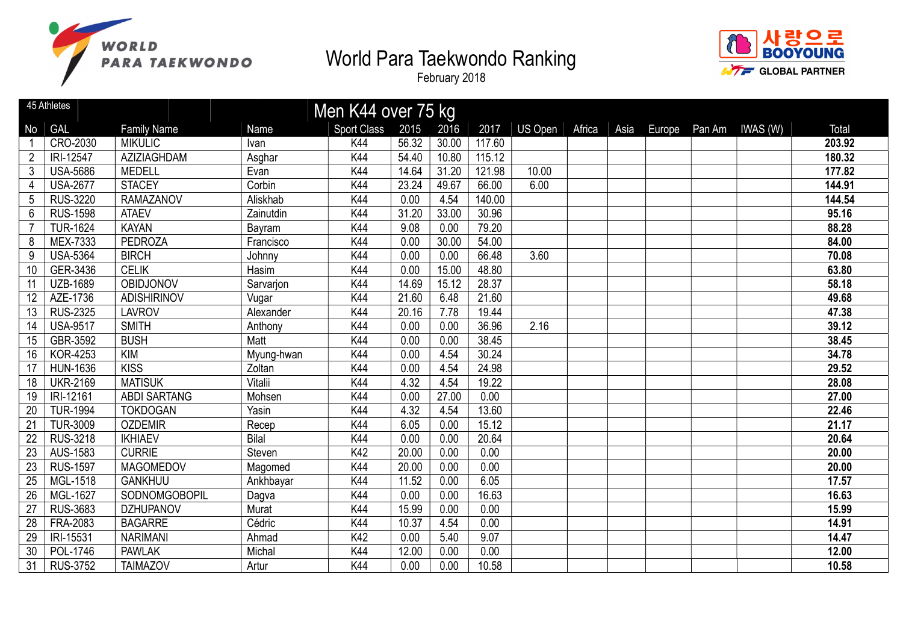



|                 | 45 Athletes     |                     |              | Men K44 over 75 kg |       |       |        |         |        |      |  |                        |        |
|-----------------|-----------------|---------------------|--------------|--------------------|-------|-------|--------|---------|--------|------|--|------------------------|--------|
| No              | <b>GAL</b>      | <b>Family Name</b>  | <b>Name</b>  | <b>Sport Class</b> | 2015  | 2016  | 2017   | US Open | Africa | Asia |  | Europe Pan Am IWAS (W) | Total  |
|                 | CRO-2030        | <b>MIKULIC</b>      | Ivan         | K44                | 56.32 | 30.00 | 117.60 |         |        |      |  |                        | 203.92 |
| $\overline{2}$  | IRI-12547       | AZIZIAGHDAM         | Asghar       | K44                | 54.40 | 10.80 | 115.12 |         |        |      |  |                        | 180.32 |
| 3               | <b>USA-5686</b> | <b>MEDELL</b>       | Evan         | K44                | 14.64 | 31.20 | 121.98 | 10.00   |        |      |  |                        | 177.82 |
| 4               | <b>USA-2677</b> | <b>STACEY</b>       | Corbin       | K44                | 23.24 | 49.67 | 66.00  | 6.00    |        |      |  |                        | 144.91 |
| 5               | <b>RUS-3220</b> | <b>RAMAZANOV</b>    | Aliskhab     | K44                | 0.00  | 4.54  | 140.00 |         |        |      |  |                        | 144.54 |
| 6               | <b>RUS-1598</b> | <b>ATAEV</b>        | Zainutdin    | K44                | 31.20 | 33.00 | 30.96  |         |        |      |  |                        | 95.16  |
|                 | <b>TUR-1624</b> | <b>KAYAN</b>        | Bayram       | K44                | 9.08  | 0.00  | 79.20  |         |        |      |  |                        | 88.28  |
| 8               | MEX-7333        | <b>PEDROZA</b>      | Francisco    | K44                | 0.00  | 30.00 | 54.00  |         |        |      |  |                        | 84.00  |
| 9               | <b>USA-5364</b> | <b>BIRCH</b>        | Johnny       | K44                | 0.00  | 0.00  | 66.48  | 3.60    |        |      |  |                        | 70.08  |
| 10              | GER-3436        | <b>CELIK</b>        | Hasim        | K44                | 0.00  | 15.00 | 48.80  |         |        |      |  |                        | 63.80  |
| 11              | <b>UZB-1689</b> | <b>OBIDJONOV</b>    | Sarvarjon    | K44                | 14.69 | 15.12 | 28.37  |         |        |      |  |                        | 58.18  |
| 12              | AZE-1736        | <b>ADISHIRINOV</b>  | Vugar        | K44                | 21.60 | 6.48  | 21.60  |         |        |      |  |                        | 49.68  |
| 13              | <b>RUS-2325</b> | <b>LAVROV</b>       | Alexander    | K44                | 20.16 | 7.78  | 19.44  |         |        |      |  |                        | 47.38  |
| 14              | <b>USA-9517</b> | <b>SMITH</b>        | Anthony      | K44                | 0.00  | 0.00  | 36.96  | 2.16    |        |      |  |                        | 39.12  |
| 15              | GBR-3592        | <b>BUSH</b>         | Matt         | K44                | 0.00  | 0.00  | 38.45  |         |        |      |  |                        | 38.45  |
| 16              | <b>KOR-4253</b> | <b>KIM</b>          | Myung-hwan   | K44                | 0.00  | 4.54  | 30.24  |         |        |      |  |                        | 34.78  |
| 17              | <b>HUN-1636</b> | <b>KISS</b>         | Zoltan       | K44                | 0.00  | 4.54  | 24.98  |         |        |      |  |                        | 29.52  |
| 18              | <b>UKR-2169</b> | <b>MATISUK</b>      | Vitalii      | K44                | 4.32  | 4.54  | 19.22  |         |        |      |  |                        | 28.08  |
| 19              | IRI-12161       | <b>ABDI SARTANG</b> | Mohsen       | K44                | 0.00  | 27.00 | 0.00   |         |        |      |  |                        | 27.00  |
| 20              | <b>TUR-1994</b> | <b>TOKDOGAN</b>     | Yasin        | K44                | 4.32  | 4.54  | 13.60  |         |        |      |  |                        | 22.46  |
| 21              | <b>TUR-3009</b> | <b>OZDEMIR</b>      | Recep        | K44                | 6.05  | 0.00  | 15.12  |         |        |      |  |                        | 21.17  |
| 22              | <b>RUS-3218</b> | <b>IKHIAEV</b>      | <b>Bilal</b> | K44                | 0.00  | 0.00  | 20.64  |         |        |      |  |                        | 20.64  |
| 23              | AUS-1583        | <b>CURRIE</b>       | Steven       | K42                | 20.00 | 0.00  | 0.00   |         |        |      |  |                        | 20.00  |
| 23              | <b>RUS-1597</b> | <b>MAGOMEDOV</b>    | Magomed      | K44                | 20.00 | 0.00  | 0.00   |         |        |      |  |                        | 20.00  |
| 25              | MGL-1518        | <b>GANKHUU</b>      | Ankhbayar    | K44                | 11.52 | 0.00  | 6.05   |         |        |      |  |                        | 17.57  |
| 26              | MGL-1627        | SODNOMGOBOPIL       | Dagva        | K44                | 0.00  | 0.00  | 16.63  |         |        |      |  |                        | 16.63  |
| 27              | <b>RUS-3683</b> | <b>DZHUPANOV</b>    | Murat        | K44                | 15.99 | 0.00  | 0.00   |         |        |      |  |                        | 15.99  |
| $\overline{28}$ | <b>FRA-2083</b> | <b>BAGARRE</b>      | Cédric       | K44                | 10.37 | 4.54  | 0.00   |         |        |      |  |                        | 14.91  |
| 29              | IRI-15531       | <b>NARIMANI</b>     | Ahmad        | K42                | 0.00  | 5.40  | 9.07   |         |        |      |  |                        | 14.47  |
| 30              | POL-1746        | <b>PAWLAK</b>       | Michal       | K44                | 12.00 | 0.00  | 0.00   |         |        |      |  |                        | 12.00  |
| 31              | <b>RUS-3752</b> | <b>TAIMAZOV</b>     | Artur        | K44                | 0.00  | 0.00  | 10.58  |         |        |      |  |                        | 10.58  |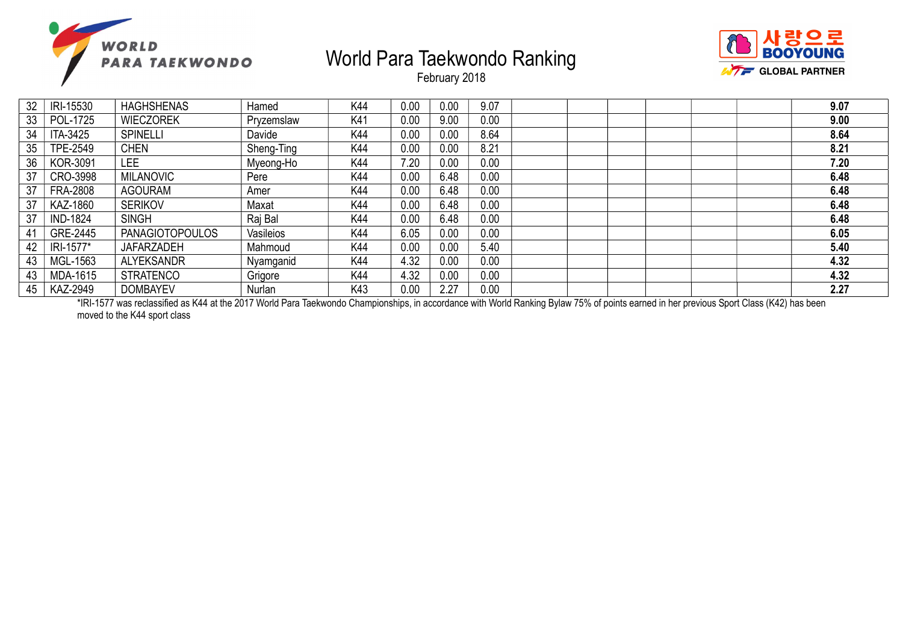



February 2018

| 32 | IRI-15530       | <b>HAGHSHENAS</b>      | Hamed      | K44 | 0.00 | 0.00     | 9.07 |  |  | 9.07 |
|----|-----------------|------------------------|------------|-----|------|----------|------|--|--|------|
| 33 | POL-1725        | <b>WIECZOREK</b>       | Pryzemslaw | K41 | 0.00 | 9.00     | 0.00 |  |  | 9.00 |
| 34 | ITA-3425        | <b>SPINELLI</b>        | Davide     | K44 | 0.00 | 0.00     | 8.64 |  |  | 8.64 |
| 35 | <b>TPE-2549</b> | <b>CHEN</b>            | Sheng-Ting | K44 | 0.00 | $0.00\,$ | 8.21 |  |  | 8.21 |
| 36 | <b>KOR-3091</b> | LEE.                   | Myeong-Ho  | K44 | 7.20 | 0.00     | 0.00 |  |  | 7.20 |
| 37 | CRO-3998        | <b>MILANOVIC</b>       | Pere       | K44 | 0.00 | 6.48     | 0.00 |  |  | 6.48 |
| 37 | <b>FRA-2808</b> | <b>AGOURAM</b>         | Amer       | K44 | 0.00 | 6.48     | 0.00 |  |  | 6.48 |
| 37 | KAZ-1860        | <b>SERIKOV</b>         | Maxat      | K44 | 0.00 | 6.48     | 0.00 |  |  | 6.48 |
| 37 | <b>IND-1824</b> | <b>SINGH</b>           | Raj Bal    | K44 | 0.00 | 6.48     | 0.00 |  |  | 6.48 |
| 41 | GRE-2445        | <b>PANAGIOTOPOULOS</b> | Vasileios  | K44 | 6.05 | 0.00     | 0.00 |  |  | 6.05 |
| 42 | IRI-1577*       | <b>JAFARZADEH</b>      | Mahmoud    | K44 | 0.00 | $0.00\,$ | 5.40 |  |  | 5.40 |
| 43 | MGL-1563        | <b>ALYEKSANDR</b>      | Nyamganid  | K44 | 4.32 | $0.00\,$ | 0.00 |  |  | 4.32 |
| 43 | MDA-1615        | <b>STRATENCO</b>       | Grigore    | K44 | 4.32 | 0.00     | 0.00 |  |  | 4.32 |
| 45 | KAZ-2949        | <b>DOMBAYEV</b>        | Nurlan     | K43 | 0.00 | 2.27     | 0.00 |  |  | 2.27 |

\*IRI-1577 was reclassified as K44 at the 2017 World Para Taekwondo Championships, in accordance with World Ranking Bylaw 75% of points earned in her previous Sport Class (K42) has been moved to the K44 sport class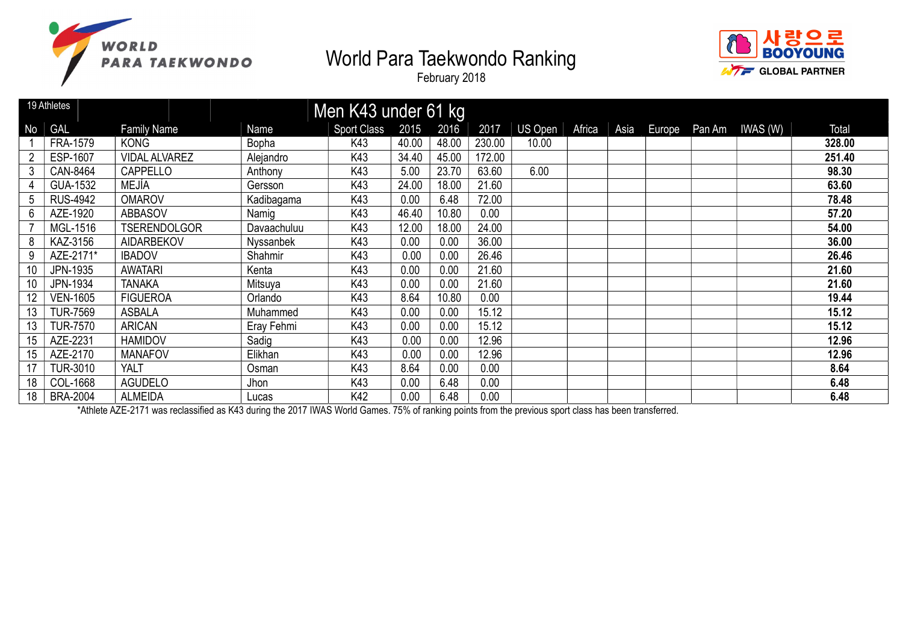



February 2018

|    | 19 Athletes     |                      |              | Men K43 under 61 kg |       |       |        |         |        |      |        |                 |        |
|----|-----------------|----------------------|--------------|---------------------|-------|-------|--------|---------|--------|------|--------|-----------------|--------|
| No | <b>GAL</b>      | <b>Family Name</b>   | Name         | <b>Sport Class</b>  | 2015  | 2016  | 2017   | US Open | Africa | Asia | Europe | Pan Am IWAS (W) | Total  |
|    | <b>FRA-1579</b> | <b>KONG</b>          | <b>Bopha</b> | K43                 | 40.00 | 48.00 | 230.00 | 10.00   |        |      |        |                 | 328.00 |
| 2  | ESP-1607        | <b>VIDAL ALVAREZ</b> | Alejandro    | K43                 | 34.40 | 45.00 | 172.00 |         |        |      |        |                 | 251.40 |
| 3  | CAN-8464        | CAPPELLO             | Anthony      | K43                 | 5.00  | 23.70 | 63.60  | 6.00    |        |      |        |                 | 98.30  |
| 4  | GUA-1532        | MEJÍA                | Gersson      | K43                 | 24.00 | 18.00 | 21.60  |         |        |      |        |                 | 63.60  |
| 5  | <b>RUS-4942</b> | <b>OMAROV</b>        | Kadibagama   | K43                 | 0.00  | 6.48  | 72.00  |         |        |      |        |                 | 78.48  |
| 6  | AZE-1920        | <b>ABBASOV</b>       | Namig        | K43                 | 46.40 | 10.80 | 0.00   |         |        |      |        |                 | 57.20  |
|    | MGL-1516        | <b>TSERENDOLGOR</b>  | Davaachuluu  | K43                 | 12.00 | 18.00 | 24.00  |         |        |      |        |                 | 54.00  |
| 8  | KAZ-3156        | <b>AIDARBEKOV</b>    | Nyssanbek    | K43                 | 0.00  | 0.00  | 36.00  |         |        |      |        |                 | 36.00  |
| 9  | AZE-2171*       | <b>IBADOV</b>        | Shahmir      | K43                 | 0.00  | 0.00  | 26.46  |         |        |      |        |                 | 26.46  |
| 10 | JPN-1935        | <b>AWATARI</b>       | Kenta        | K43                 | 0.00  | 0.00  | 21.60  |         |        |      |        |                 | 21.60  |
| 10 | JPN-1934        | <b>TANAKA</b>        | Mitsuya      | K43                 | 0.00  | 0.00  | 21.60  |         |        |      |        |                 | 21.60  |
| 12 | <b>VEN-1605</b> | <b>FIGUEROA</b>      | Orlando      | K43                 | 8.64  | 10.80 | 0.00   |         |        |      |        |                 | 19.44  |
| 13 | <b>TUR-7569</b> | ASBALA               | Muhammed     | K43                 | 0.00  | 0.00  | 15.12  |         |        |      |        |                 | 15.12  |
| 13 | <b>TUR-7570</b> | <b>ARICAN</b>        | Eray Fehmi   | K43                 | 0.00  | 0.00  | 15.12  |         |        |      |        |                 | 15.12  |
| 15 | AZE-2231        | <b>HAMIDOV</b>       | Sadig        | K43                 | 0.00  | 0.00  | 12.96  |         |        |      |        |                 | 12.96  |
|    | AZE-2170        | <b>MANAFOV</b>       | Elikhan      | K43                 | 0.00  | 0.00  | 12.96  |         |        |      |        |                 | 12.96  |
|    | <b>TUR-3010</b> | <b>YALT</b>          | Osman        | K43                 | 8.64  | 0.00  | 0.00   |         |        |      |        |                 | 8.64   |
| 18 | COL-1668        | <b>AGUDELO</b>       | Jhon         | K43                 | 0.00  | 6.48  | 0.00   |         |        |      |        |                 | 6.48   |
| 18 | <b>BRA-2004</b> | <b>ALMEIDA</b>       | Lucas        | K42                 | 0.00  | 6.48  | 0.00   |         |        |      |        |                 | 6.48   |

\*Athlete AZE-2171 was reclassified as K43 during the 2017 IWAS World Games. 75% of ranking points from the previous sport class has been transferred.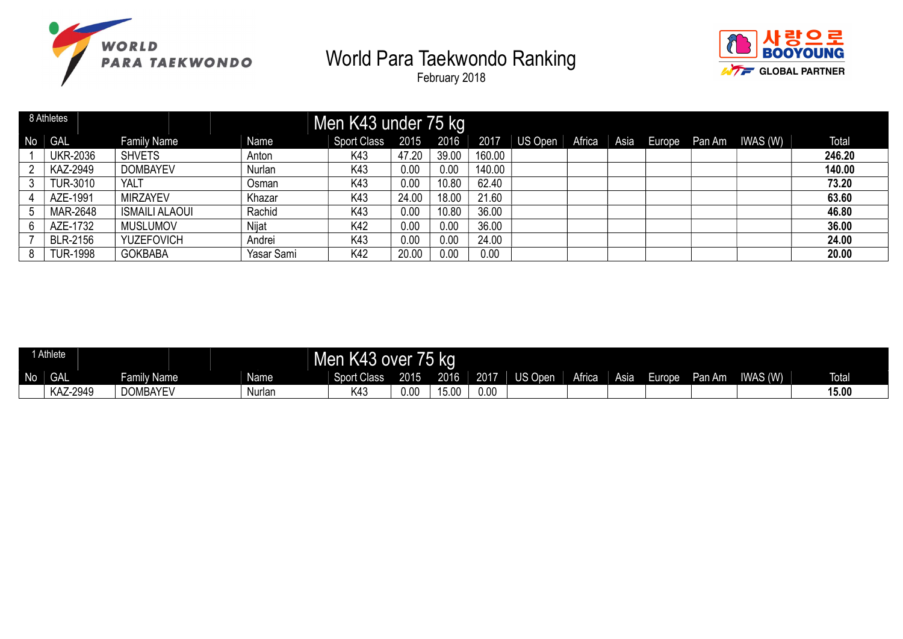



|    | 8 Athletes      |                       |            | Men K43 under 75 kg |       |       |        |         |        |  |                             |        |
|----|-----------------|-----------------------|------------|---------------------|-------|-------|--------|---------|--------|--|-----------------------------|--------|
| No | GAL             | <b>Family Name</b>    | Name       | <b>Sport Class</b>  | 2015  | 2016  | 2017   | US Open | Africa |  | Asia Europe Pan Am IWAS (W) | Total  |
|    | <b>UKR-2036</b> | <b>SHVETS</b>         | Anton      | K43                 | 47.20 | 39.00 | 160.00 |         |        |  |                             | 246.20 |
|    | KAZ-2949        | <b>DOMBAYEV</b>       | Nurlan     | K43                 | 0.00  | 0.00  | 140.00 |         |        |  |                             | 140.00 |
|    | <b>TUR-3010</b> | YALT                  | Osman      | K43                 | 0.00  | 10.80 | 62.40  |         |        |  |                             | 73.20  |
|    | AZE-1991        | <b>MIRZAYEV</b>       | Khazar     | K43                 | 24.00 | 18.00 | 21.60  |         |        |  |                             | 63.60  |
|    | <b>MAR-2648</b> | <b>ISMAILI ALAOUI</b> | Rachid     | K43                 | 0.00  | 10.80 | 36.00  |         |        |  |                             | 46.80  |
|    | AZE-1732        | <b>MUSLUMOV</b>       | Nijat      | K42                 | 0.00  | 0.00  | 36.00  |         |        |  |                             | 36.00  |
|    | <b>BLR-2156</b> | YUZEFOVICH            | Andrei     | K43                 | 0.00  | 0.00  | 24.00  |         |        |  |                             | 24.00  |
|    | <b>TUR-1998</b> | <b>GOKBABA</b>        | Yasar Sami | K42                 | 20.00 | 0.00  | 0.00   |         |        |  |                             | 20.00  |

|    | <b>Athlete</b> |                 |        | Men K43 over       |      | r5 ka |      |         |        |      |                   |        |                |              |
|----|----------------|-----------------|--------|--------------------|------|-------|------|---------|--------|------|-------------------|--------|----------------|--------------|
| No | <b>GAL</b>     | Family Name     | Name   | <b>Sport Class</b> | 2015 | 2016  | 2017 | 'S Open | Africa | Asia | Euro <sub>0</sub> | Pan Am | <b>WAS (W)</b> | <b>Total</b> |
|    | KAZ-2949       | <b>DOMBAYEV</b> | Nurlan | K43                | 0.00 | 15.00 | 0.00 |         |        |      |                   |        |                | 15.00        |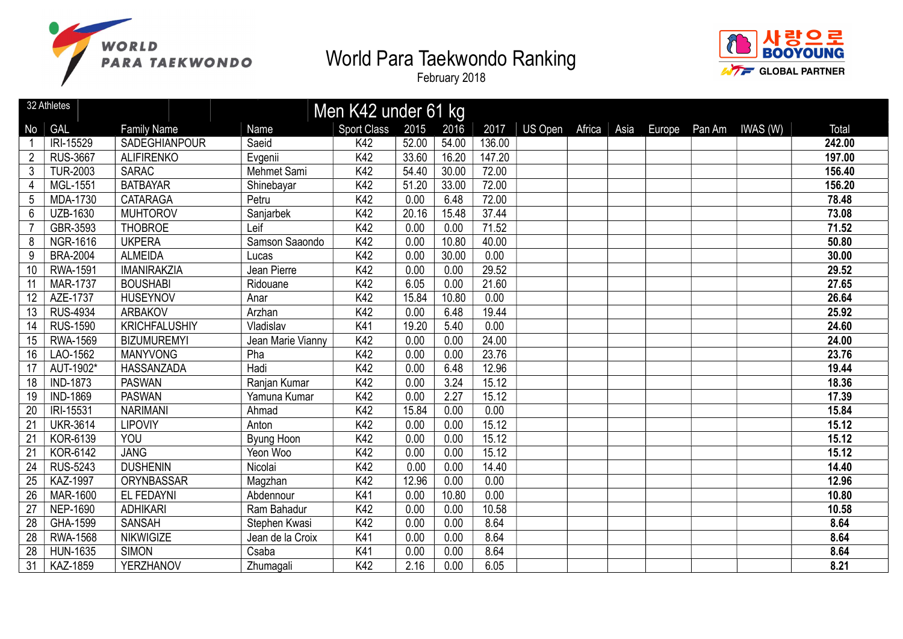



|                 | 32 Athletes     |                      |                   | Men K42 under 61 kg |       |       |        |         |        |             |                 |        |
|-----------------|-----------------|----------------------|-------------------|---------------------|-------|-------|--------|---------|--------|-------------|-----------------|--------|
| <b>No</b>       | <b>GAL</b>      | <b>Family Name</b>   | Name              | <b>Sport Class</b>  | 2015  | 2016  | 2017   | US Open | Africa | Asia Europe | Pan Am IWAS (W) | Total  |
|                 | IRI-15529       | SADEGHIANPOUR        | Saeid             | K42                 | 52.00 | 54.00 | 136.00 |         |        |             |                 | 242.00 |
| $\overline{2}$  | <b>RUS-3667</b> | <b>ALIFIRENKO</b>    | Evgenii           | K42                 | 33.60 | 16.20 | 147.20 |         |        |             |                 | 197.00 |
| 3               | <b>TUR-2003</b> | <b>SARAC</b>         | Mehmet Sami       | K42                 | 54.40 | 30.00 | 72.00  |         |        |             |                 | 156.40 |
| 4               | MGL-1551        | <b>BATBAYAR</b>      | Shinebayar        | K42                 | 51.20 | 33.00 | 72.00  |         |        |             |                 | 156.20 |
| 5               | MDA-1730        | <b>CATARAGA</b>      | Petru             | K42                 | 0.00  | 6.48  | 72.00  |         |        |             |                 | 78.48  |
| 6               | <b>UZB-1630</b> | <b>MUHTOROV</b>      | Sanjarbek         | K42                 | 20.16 | 15.48 | 37.44  |         |        |             |                 | 73.08  |
| $\overline{7}$  | GBR-3593        | <b>THOBROE</b>       | Leif              | K42                 | 0.00  | 0.00  | 71.52  |         |        |             |                 | 71.52  |
| 8               | <b>NGR-1616</b> | <b>UKPERA</b>        | Samson Saaondo    | K42                 | 0.00  | 10.80 | 40.00  |         |        |             |                 | 50.80  |
| 9               | <b>BRA-2004</b> | <b>ALMEIDA</b>       | Lucas             | K42                 | 0.00  | 30.00 | 0.00   |         |        |             |                 | 30.00  |
| 10              | <b>RWA-1591</b> | <b>IMANIRAKZIA</b>   | Jean Pierre       | K42                 | 0.00  | 0.00  | 29.52  |         |        |             |                 | 29.52  |
| 11              | <b>MAR-1737</b> | <b>BOUSHABI</b>      | Ridouane          | K42                 | 6.05  | 0.00  | 21.60  |         |        |             |                 | 27.65  |
| 12              | AZE-1737        | <b>HUSEYNOV</b>      | Anar              | K42                 | 15.84 | 10.80 | 0.00   |         |        |             |                 | 26.64  |
| 13              | <b>RUS-4934</b> | <b>ARBAKOV</b>       | Arzhan            | K42                 | 0.00  | 6.48  | 19.44  |         |        |             |                 | 25.92  |
| 14              | <b>RUS-1590</b> | <b>KRICHFALUSHIY</b> | Vladislav         | K41                 | 19.20 | 5.40  | 0.00   |         |        |             |                 | 24.60  |
| 15              | RWA-1569        | <b>BIZUMUREMYI</b>   | Jean Marie Vianny | K42                 | 0.00  | 0.00  | 24.00  |         |        |             |                 | 24.00  |
| 16              | LAO-1562        | <b>MANYVONG</b>      | Pha               | K42                 | 0.00  | 0.00  | 23.76  |         |        |             |                 | 23.76  |
| 17              | AUT-1902*       | HASSANZADA           | Hadi              | K42                 | 0.00  | 6.48  | 12.96  |         |        |             |                 | 19.44  |
| 18              | <b>IND-1873</b> | <b>PASWAN</b>        | Ranjan Kumar      | K42                 | 0.00  | 3.24  | 15.12  |         |        |             |                 | 18.36  |
| 19              | <b>IND-1869</b> | <b>PASWAN</b>        | Yamuna Kumar      | K42                 | 0.00  | 2.27  | 15.12  |         |        |             |                 | 17.39  |
| 20              | IRI-15531       | <b>NARIMANI</b>      | Ahmad             | K42                 | 15.84 | 0.00  | 0.00   |         |        |             |                 | 15.84  |
| 21              | <b>UKR-3614</b> | <b>LIPOVIY</b>       | Anton             | K42                 | 0.00  | 0.00  | 15.12  |         |        |             |                 | 15.12  |
| $\overline{21}$ | KOR-6139        | YOU                  | Byung Hoon        | K42                 | 0.00  | 0.00  | 15.12  |         |        |             |                 | 15.12  |
| 21              | KOR-6142        | <b>JANG</b>          | Yeon Woo          | K42                 | 0.00  | 0.00  | 15.12  |         |        |             |                 | 15.12  |
| 24              | <b>RUS-5243</b> | <b>DUSHENIN</b>      | Nicolai           | K42                 | 0.00  | 0.00  | 14.40  |         |        |             |                 | 14.40  |
| 25              | <b>KAZ-1997</b> | ORYNBASSAR           | Magzhan           | K42                 | 12.96 | 0.00  | 0.00   |         |        |             |                 | 12.96  |
| 26              | <b>MAR-1600</b> | EL FEDAYNI           | Abdennour         | K41                 | 0.00  | 10.80 | 0.00   |         |        |             |                 | 10.80  |
| 27              | <b>NEP-1690</b> | <b>ADHIKARI</b>      | Ram Bahadur       | K42                 | 0.00  | 0.00  | 10.58  |         |        |             |                 | 10.58  |
| 28              | GHA-1599        | <b>SANSAH</b>        | Stephen Kwasi     | K42                 | 0.00  | 0.00  | 8.64   |         |        |             |                 | 8.64   |
| 28              | <b>RWA-1568</b> | <b>NIKWIGIZE</b>     | Jean de la Croix  | K41                 | 0.00  | 0.00  | 8.64   |         |        |             |                 | 8.64   |
| 28              | <b>HUN-1635</b> | <b>SIMON</b>         | Csaba             | K41                 | 0.00  | 0.00  | 8.64   |         |        |             |                 | 8.64   |
| 31              | KAZ-1859        | YERZHANOV            | Zhumagali         | K42                 | 2.16  | 0.00  | 6.05   |         |        |             |                 | 8.21   |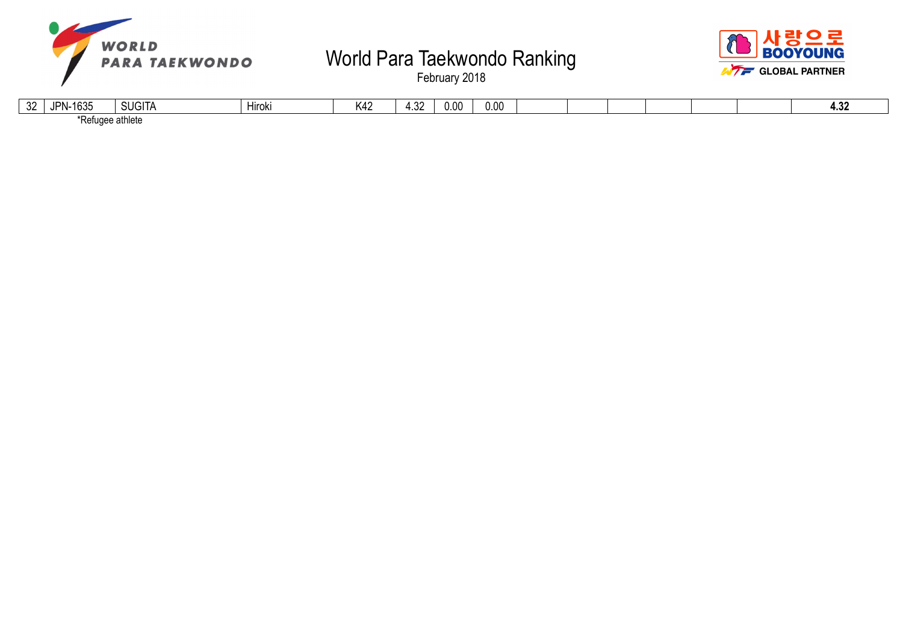



| $\sim$<br>JZ. | $\sqrt{2}$<br>IDN.<br>ါဝ၁၁<br>- 11 | 0.101T<br><b>SUGHA</b> | .<br>Hiroki | V <sub>10</sub><br>N4∠ | ົດດ<br>ےں.+ | 0.00 | 0.00 |  |  |  | ה ו<br>אט ד |
|---------------|------------------------------------|------------------------|-------------|------------------------|-------------|------|------|--|--|--|-------------|
|               | Refugee athlete                    |                        |             |                        |             |      |      |  |  |  |             |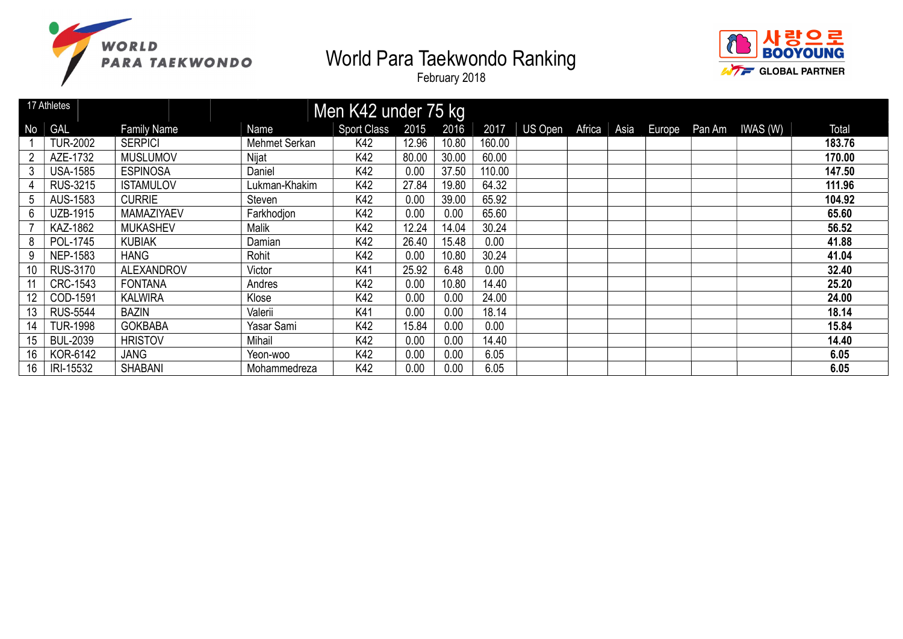



|    | 17 Athletes     |                    |               | Men K42 under 75 kg |       |       |        |         |        |      |  |                        |        |
|----|-----------------|--------------------|---------------|---------------------|-------|-------|--------|---------|--------|------|--|------------------------|--------|
| No | GAL             | <b>Family Name</b> | Name          | <b>Sport Class</b>  | 2015  | 2016  | 2017   | US Open | Africa | Asia |  | Europe Pan Am IWAS (W) | Total  |
|    | <b>TUR-2002</b> | <b>SERPICI</b>     | Mehmet Serkan | K42                 | 12.96 | 10.80 | 160.00 |         |        |      |  |                        | 183.76 |
|    | AZE-1732        | <b>MUSLUMOV</b>    | Nijat         | K42                 | 80.00 | 30.00 | 60.00  |         |        |      |  |                        | 170.00 |
|    | <b>USA-1585</b> | <b>ESPINOSA</b>    | Daniel        | K42                 | 0.00  | 37.50 | 110.00 |         |        |      |  |                        | 147.50 |
|    | RUS-3215        | <b>ISTAMULOV</b>   | Lukman-Khakim | K42                 | 27.84 | 19.80 | 64.32  |         |        |      |  |                        | 111.96 |
| 5  | <b>AUS-1583</b> | <b>CURRIE</b>      | Steven        | K42                 | 0.00  | 39.00 | 65.92  |         |        |      |  |                        | 104.92 |
| 6  | UZB-1915        | <b>MAMAZIYAEV</b>  | Farkhodjon    | K42                 | 0.00  | 0.00  | 65.60  |         |        |      |  |                        | 65.60  |
|    | KAZ-1862        | <b>MUKASHEV</b>    | Malik         | K42                 | 12.24 | 14.04 | 30.24  |         |        |      |  |                        | 56.52  |
| 8  | POL-1745        | <b>KUBIAK</b>      | Damian        | K42                 | 26.40 | 15.48 | 0.00   |         |        |      |  |                        | 41.88  |
| 9  | <b>NEP-1583</b> | <b>HANG</b>        | Rohit         | K42                 | 0.00  | 10.80 | 30.24  |         |        |      |  |                        | 41.04  |
| 10 | <b>RUS-3170</b> | <b>ALEXANDROV</b>  | Victor        | K41                 | 25.92 | 6.48  | 0.00   |         |        |      |  |                        | 32.40  |
|    | CRC-1543        | <b>FONTANA</b>     | Andres        | K42                 | 0.00  | 10.80 | 14.40  |         |        |      |  |                        | 25.20  |
| 12 | COD-1591        | <b>KALWIRA</b>     | Klose         | K42                 | 0.00  | 0.00  | 24.00  |         |        |      |  |                        | 24.00  |
| 13 | <b>RUS-5544</b> | <b>BAZIN</b>       | Valerii       | K41                 | 0.00  | 0.00  | 18.14  |         |        |      |  |                        | 18.14  |
| 14 | <b>TUR-1998</b> | <b>GOKBABA</b>     | Yasar Sami    | K42                 | 15.84 | 0.00  | 0.00   |         |        |      |  |                        | 15.84  |
| 15 | <b>BUL-2039</b> | <b>HRISTOV</b>     | Mihail        | K42                 | 0.00  | 0.00  | 14.40  |         |        |      |  |                        | 14.40  |
| 16 | KOR-6142        | <b>JANG</b>        | Yeon-woo      | K42                 | 0.00  | 0.00  | 6.05   |         |        |      |  |                        | 6.05   |
| 16 | IRI-15532       | <b>SHABANI</b>     | Mohammedreza  | K42                 | 0.00  | 0.00  | 6.05   |         |        |      |  |                        | 6.05   |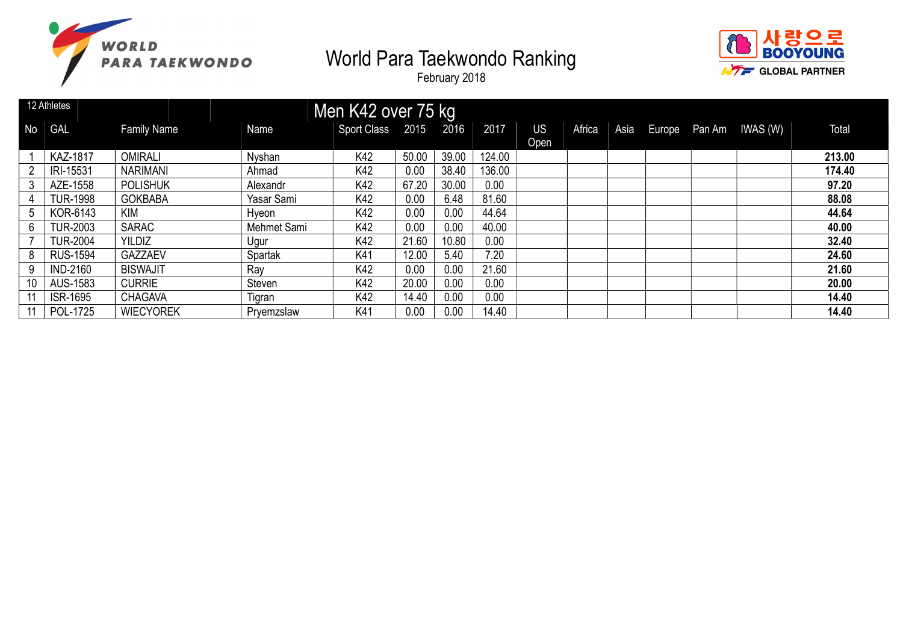



|                | 12 Athletes     |                    |             | Men K42 over 75 kg    |       |       |        |      |        |  |                             |        |
|----------------|-----------------|--------------------|-------------|-----------------------|-------|-------|--------|------|--------|--|-----------------------------|--------|
| N <sub>o</sub> | GAL             | <b>Family Name</b> | Name        | Sport Class 2015 2016 |       |       | 2017   | US   | Africa |  | Asia Europe Pan Am IWAS (W) | Total  |
|                |                 |                    |             |                       |       |       |        | Open |        |  |                             |        |
|                | <b>KAZ-1817</b> | <b>OMIRALI</b>     | Nyshan      | K42                   | 50.00 | 39.00 | 124.00 |      |        |  |                             | 213.00 |
|                | IRI-15531       | <b>NARIMANI</b>    | Ahmad       | K42                   | 0.00  | 38.40 | 136.00 |      |        |  |                             | 174.40 |
|                | AZE-1558        | <b>POLISHUK</b>    | Alexandr    | K42                   | 67.20 | 30.00 | 0.00   |      |        |  |                             | 97.20  |
|                | <b>TUR-1998</b> | <b>GOKBABA</b>     | Yasar Sami  | K42                   | 0.00  | 6.48  | 81.60  |      |        |  |                             | 88.08  |
| 5              | KOR-6143        | <b>KIM</b>         | Hyeon       | K42                   | 0.00  | 0.00  | 44.64  |      |        |  |                             | 44.64  |
| 6 <sup>1</sup> | <b>TUR-2003</b> | <b>SARAC</b>       | Mehmet Sami | K42                   | 0.00  | 0.00  | 40.00  |      |        |  |                             | 40.00  |
|                | <b>TUR-2004</b> | <b>YILDIZ</b>      | Ugur        | K42                   | 21.60 | 10.80 | 0.00   |      |        |  |                             | 32.40  |
| 8              | <b>RUS-1594</b> | <b>GAZZAEV</b>     | Spartak     | K41                   | 12.00 | 5.40  | 7.20   |      |        |  |                             | 24.60  |
| 9              | <b>IND-2160</b> | <b>BISWAJIT</b>    | Ray         | K42                   | 0.00  | 0.00  | 21.60  |      |        |  |                             | 21.60  |
| 10             | AUS-1583        | <b>CURRIE</b>      | Steven      | K42                   | 20.00 | 0.00  | 0.00   |      |        |  |                             | 20.00  |
|                | <b>ISR-1695</b> | <b>CHAGAVA</b>     | Tigran      | K42                   | 14.40 | 0.00  | 0.00   |      |        |  |                             | 14.40  |
|                | POL-1725        | <b>WIECYOREK</b>   | Pryemzslaw  | K41                   | 0.00  | 0.00  | 14.40  |      |        |  |                             | 14.40  |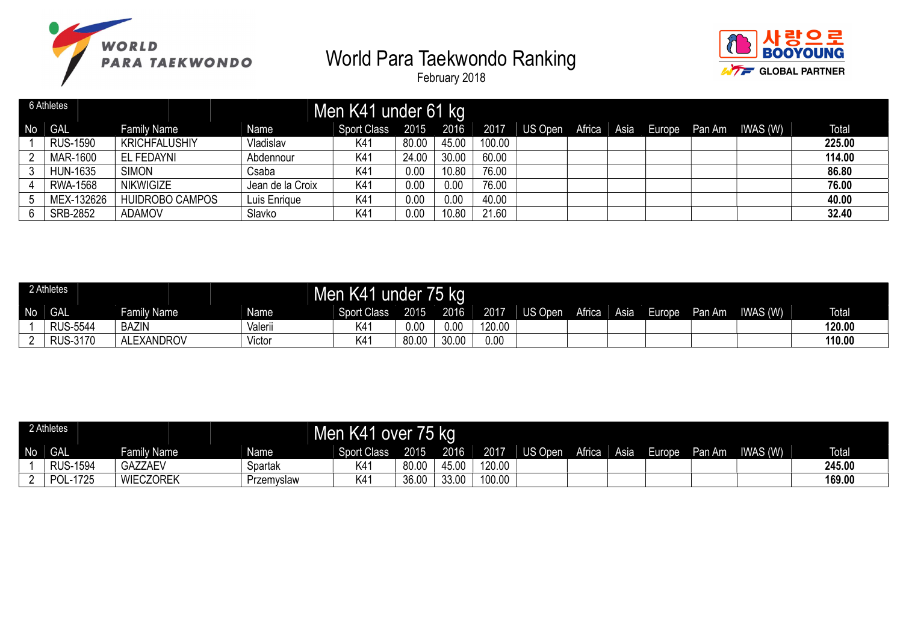



|                 | 6 Athletes      |                      |                  | Men K41 under 61 kg |       |       |        |                |      |        |        |          |        |
|-----------------|-----------------|----------------------|------------------|---------------------|-------|-------|--------|----------------|------|--------|--------|----------|--------|
| No <sub>1</sub> | <b>GAL</b>      | <b>Family Name</b>   | Name             | <b>Sport Class</b>  | 2015  | 2016  | 2017   | US Open Africa | Asia | Europe | Pan Am | IWAS (W) | Total  |
|                 | <b>RUS-1590</b> | <b>KRICHFALUSHIY</b> | Vladislav        | K41                 | 80.00 | 45.00 | 100.00 |                |      |        |        |          | 225.00 |
|                 | MAR-1600        | EL FEDAYNI           | Abdennour        | K41                 | 24.00 | 30.00 | 60.00  |                |      |        |        |          | 114.00 |
|                 | <b>HUN-1635</b> | <b>SIMON</b>         | Csaba            | K41                 | 0.00  | 10.80 | 76.00  |                |      |        |        |          | 86.80  |
|                 | RWA-1568        | <b>NIKWIGIZE</b>     | Jean de la Croix | K41                 | 0.00  | 0.00  | 76.00  |                |      |        |        |          | 76.00  |
|                 | MEX-132626      | HUIDROBO CAMPOS      | Luis Enrique     | K41                 | 0.00  | 0.00  | 40.00  |                |      |        |        |          | 40.00  |
|                 | SRB-2852        | <b>ADAMOV</b>        | Slavko           | K4 <sup>-</sup>     | 0.00  | 10.80 | 21.60  |                |      |        |        |          | 32.40  |

|    | 2 Athletes      |                   |         | Men K41 under 75 kg |       |       |        |         |        |      |        |        |          |              |
|----|-----------------|-------------------|---------|---------------------|-------|-------|--------|---------|--------|------|--------|--------|----------|--------------|
| No | <b>GAL</b>      | Family Name       | Name    | <b>Sport Class</b>  | 2015  | 2016  | 2017   | US Open | Africa | Asia | Europe | Pan Am | IWAS (W) | <b>Total</b> |
|    | <b>RUS-5544</b> | <b>BAZIN</b>      | Valerii | K4′                 | 0.00  | 0.00  | 120.00 |         |        |      |        |        |          | 120.00       |
|    | <b>RUS-3170</b> | <b>ALEXANDROV</b> | Victor  | K41                 | 80.00 | 30.00 | 0.00   |         |        |      |        |        |          | 110.00       |

|    | 2 Athletes      |                  |             | Men K41 over 75 kg |       |       |        |         |        |             |        |        |          |              |
|----|-----------------|------------------|-------------|--------------------|-------|-------|--------|---------|--------|-------------|--------|--------|----------|--------------|
| No | GAL             | Family Name      | <b>Name</b> | <b>Sport Class</b> | 2015  | 2016  | 2017   | US Open | Africa | <b>Asia</b> | Europe | Pan Am | IWAS (W) | <b>Total</b> |
|    | <b>RUS-1594</b> | <b>GAZZAEV</b>   | Spartak     | K41                | 80.00 | 45.00 | 120.00 |         |        |             |        |        |          | 245.00       |
|    | JL-1725<br>וחם  | <b>WIECZOREK</b> | Przemyslaw  | K41                | 36.00 | 33.00 | 100.00 |         |        |             |        |        |          | 169.00       |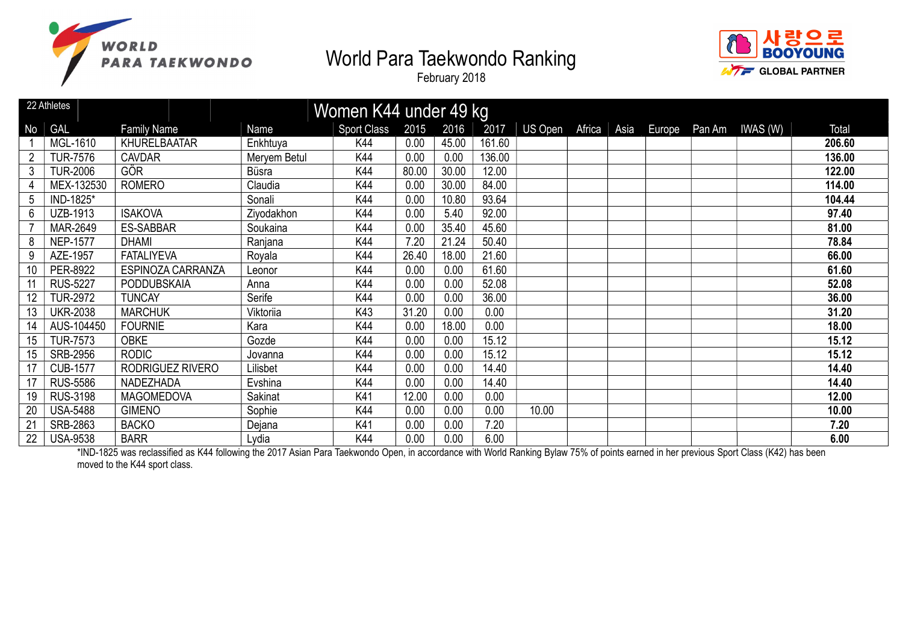





|           | 22 Athletes     |                     |                | Women K44 under 49 kg |       |       |        |                |      |        |        |         |        |
|-----------|-----------------|---------------------|----------------|-----------------------|-------|-------|--------|----------------|------|--------|--------|---------|--------|
| <b>No</b> | <b>GAL</b>      | <b>Family Name</b>  | Name           | <b>Sport Class</b>    | 2015  | 2016  | 2017   | US Open Africa | Asia | Europe | Pan Am | IWAS(W) | Total  |
|           | MGL-1610        | <b>KHURELBAATAR</b> | Enkhtuya       | K44                   | 0.00  | 45.00 | 161.60 |                |      |        |        |         | 206.60 |
|           | TUR-7576        | <b>CAVDAR</b>       | Meryem Betul   | K44                   | 0.00  | 0.00  | 136.00 |                |      |        |        |         | 136.00 |
| 3         | <b>TUR-2006</b> | <b>GÖR</b>          | <b>Büsra</b>   | K44                   | 80.00 | 30.00 | 12.00  |                |      |        |        |         | 122.00 |
|           | MEX-132530      | <b>ROMERO</b>       | Claudia        | K44                   | 0.00  | 30.00 | 84.00  |                |      |        |        |         | 114.00 |
| 5         | IND-1825*       |                     | Sonali         | K44                   | 0.00  | 10.80 | 93.64  |                |      |        |        |         | 104.44 |
| 6         | UZB-1913        | <b>ISAKOVA</b>      | Ziyodakhon     | K44                   | 0.00  | 5.40  | 92.00  |                |      |        |        |         | 97.40  |
|           | MAR-2649        | <b>ES-SABBAR</b>    | Soukaina       | K44                   | 0.00  | 35.40 | 45.60  |                |      |        |        |         | 81.00  |
| 8         | <b>NEP-1577</b> | <b>DHAMI</b>        | Ranjana        | K44                   | 7.20  | 21.24 | 50.40  |                |      |        |        |         | 78.84  |
| 9         | AZE-1957        | <b>FATALIYEVA</b>   | Royala         | K44                   | 26.40 | 18.00 | 21.60  |                |      |        |        |         | 66.00  |
| 10        | PER-8922        | ESPINOZA CARRANZA   | Leonor         | K44                   | 0.00  | 0.00  | 61.60  |                |      |        |        |         | 61.60  |
| 11        | <b>RUS-5227</b> | <b>PODDUBSKAIA</b>  | Anna           | K44                   | 0.00  | 0.00  | 52.08  |                |      |        |        |         | 52.08  |
|           | <b>TUR-2972</b> | <b>TUNCAY</b>       | Serife         | K44                   | 0.00  | 0.00  | 36.00  |                |      |        |        |         | 36.00  |
| 13        | <b>UKR-2038</b> | <b>MARCHUK</b>      | Viktoriia      | K43                   | 31.20 | 0.00  | 0.00   |                |      |        |        |         | 31.20  |
| 14        | AUS-104450      | <b>FOURNIE</b>      | Kara           | K44                   | 0.00  | 18.00 | 0.00   |                |      |        |        |         | 18.00  |
| 15        | <b>TUR-7573</b> | <b>OBKE</b>         | Gozde          | K44                   | 0.00  | 0.00  | 15.12  |                |      |        |        |         | 15.12  |
| 15        | SRB-2956        | <b>RODIC</b>        | Jovanna        | K44                   | 0.00  | 0.00  | 15.12  |                |      |        |        |         | 15.12  |
|           | <b>CUB-1577</b> | RODRIGUEZ RIVERO    | Lilisbet       | K44                   | 0.00  | 0.00  | 14.40  |                |      |        |        |         | 14.40  |
|           | <b>RUS-5586</b> | NADEZHADA           | Evshina        | K44                   | 0.00  | 0.00  | 14.40  |                |      |        |        |         | 14.40  |
| 19        | <b>RUS-3198</b> | <b>MAGOMEDOVA</b>   | <b>Sakinat</b> | K41                   | 12.00 | 0.00  | 0.00   |                |      |        |        |         | 12.00  |
| 20        | <b>USA-5488</b> | <b>GIMENO</b>       | Sophie         | K44                   | 0.00  | 0.00  | 0.00   | 10.00          |      |        |        |         | 10.00  |
| 21        | SRB-2863        | <b>BACKO</b>        | Dejana         | K41                   | 0.00  | 0.00  | 7.20   |                |      |        |        |         | 7.20   |
| 22        | <b>USA-9538</b> | <b>BARR</b>         | Lydia          | K44                   | 0.00  | 0.00  | 6.00   |                |      |        |        |         | 6.00   |

\*IND-1825 was reclassified as K44 following the 2017 Asian Para Taekwondo Open, in accordance with World Ranking Bylaw 75% of points earned in her previous Sport Class (K42) has been moved to the K44 sport class.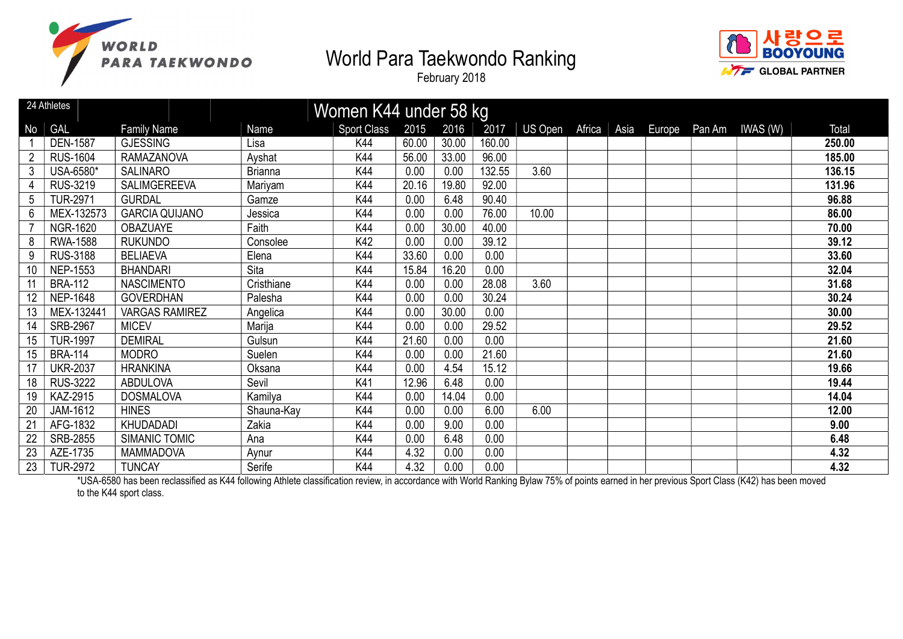





|                | 24 Athletes     |                       |                | Women K44 under 58 kg |       |       |        |         |        |      |        |                 |        |
|----------------|-----------------|-----------------------|----------------|-----------------------|-------|-------|--------|---------|--------|------|--------|-----------------|--------|
| No             | <b>GAL</b>      | <b>Family Name</b>    | Name           | <b>Sport Class</b>    | 2015  | 2016  | 2017   | US Open | Africa | Asia | Europe | Pan Am IWAS (W) | Total  |
|                | <b>DEN-1587</b> | <b>GJESSING</b>       | Lisa           | K44                   | 60.00 | 30.00 | 160.00 |         |        |      |        |                 | 250.00 |
| $\overline{2}$ | <b>RUS-1604</b> | <b>RAMAZANOVA</b>     | Ayshat         | K44                   | 56.00 | 33.00 | 96.00  |         |        |      |        |                 | 185.00 |
| 3              | USA-6580*       | <b>SALINARO</b>       | <b>Brianna</b> | K44                   | 0.00  | 0.00  | 132.55 | 3.60    |        |      |        |                 | 136.15 |
|                | RUS-3219        | <b>SALIMGEREEVA</b>   | Mariyam        | K44                   | 20.16 | 19.80 | 92.00  |         |        |      |        |                 | 131.96 |
| 5              | <b>TUR-2971</b> | <b>GURDAL</b>         | Gamze          | K44                   | 0.00  | 6.48  | 90.40  |         |        |      |        |                 | 96.88  |
| 6              | MEX-132573      | <b>GARCIA QUIJANO</b> | Jessica        | K44                   | 0.00  | 0.00  | 76.00  | 10.00   |        |      |        |                 | 86.00  |
|                | <b>NGR-1620</b> | <b>OBAZUAYE</b>       | Faith          | K44                   | 0.00  | 30.00 | 40.00  |         |        |      |        |                 | 70.00  |
| 8              | <b>RWA-1588</b> | <b>RUKUNDO</b>        | Consolee       | K42                   | 0.00  | 0.00  | 39.12  |         |        |      |        |                 | 39.12  |
| 9              | <b>RUS-3188</b> | <b>BELIAEVA</b>       | Elena          | K44                   | 33.60 | 0.00  | 0.00   |         |        |      |        |                 | 33.60  |
| 10             | <b>NEP-1553</b> | <b>BHANDARI</b>       | Sita           | K44                   | 15.84 | 16.20 | 0.00   |         |        |      |        |                 | 32.04  |
| 11             | <b>BRA-112</b>  | <b>NASCIMENTO</b>     | Cristhiane     | K44                   | 0.00  | 0.00  | 28.08  | 3.60    |        |      |        |                 | 31.68  |
| 12             | <b>NEP-1648</b> | <b>GOVERDHAN</b>      | Palesha        | K44                   | 0.00  | 0.00  | 30.24  |         |        |      |        |                 | 30.24  |
| 13             | MEX-132441      | <b>VARGAS RAMIREZ</b> | Angelica       | K44                   | 0.00  | 30.00 | 0.00   |         |        |      |        |                 | 30.00  |
| 14             | SRB-2967        | <b>MICEV</b>          | Marija         | K44                   | 0.00  | 0.00  | 29.52  |         |        |      |        |                 | 29.52  |
| 15             | <b>TUR-1997</b> | <b>DEMIRAL</b>        | Gulsun         | K44                   | 21.60 | 0.00  | 0.00   |         |        |      |        |                 | 21.60  |
| 15             | <b>BRA-114</b>  | <b>MODRO</b>          | Suelen         | K44                   | 0.00  | 0.00  | 21.60  |         |        |      |        |                 | 21.60  |
| 17             | <b>UKR-2037</b> | <b>HRANKINA</b>       | Oksana         | K44                   | 0.00  | 4.54  | 15.12  |         |        |      |        |                 | 19.66  |
| 18             | <b>RUS-3222</b> | <b>ABDULOVA</b>       | Sevil          | K41                   | 12.96 | 6.48  | 0.00   |         |        |      |        |                 | 19.44  |
| 19             | KAZ-2915        | <b>DOSMALOVA</b>      | Kamilya        | K44                   | 0.00  | 14.04 | 0.00   |         |        |      |        |                 | 14.04  |
| 20             | JAM-1612        | <b>HINES</b>          | Shauna-Kay     | K44                   | 0.00  | 0.00  | 6.00   | 6.00    |        |      |        |                 | 12.00  |
| 21             | AFG-1832        | KHUDADADI             | Zakia          | K44                   | 0.00  | 9.00  | 0.00   |         |        |      |        |                 | 9.00   |
| 22             | SRB-2855        | SIMANIC TOMIC         | Ana            | K44                   | 0.00  | 6.48  | 0.00   |         |        |      |        |                 | 6.48   |
| 23             | AZE-1735        | <b>MAMMADOVA</b>      | Aynur          | K44                   | 4.32  | 0.00  | 0.00   |         |        |      |        |                 | 4.32   |
| 23             | <b>TUR-2972</b> | <b>TUNCAY</b>         | Serife         | K44                   | 4.32  | 0.00  | 0.00   |         |        |      |        |                 | 4.32   |

\*USA-6580 has been reclassified as K44 following Athlete classification review, in accordance with World Ranking Bylaw 75% of points earned in her previous Sport Class (K42) has been moved to the K44 sport class.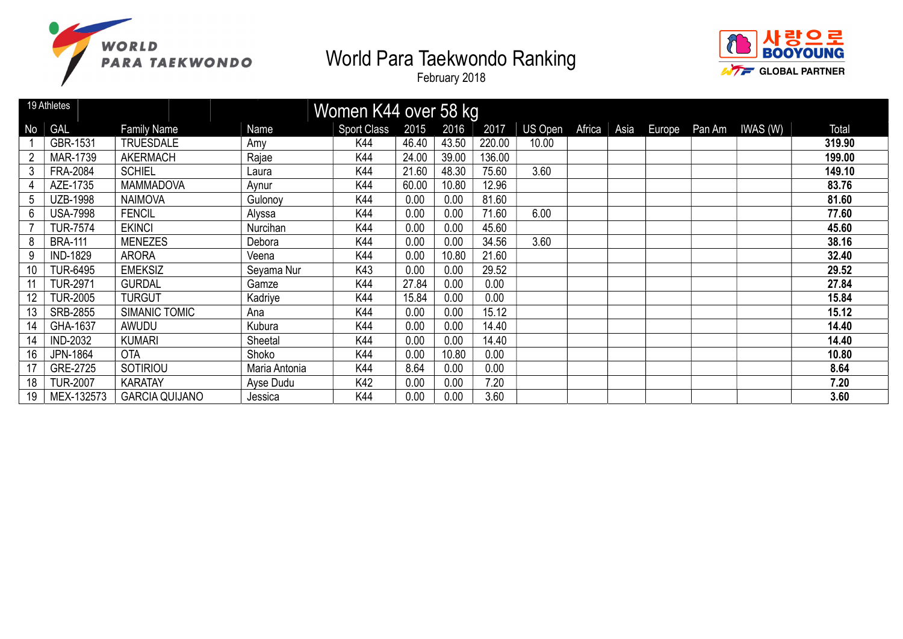



|    | 19 Athletes     |                       |               | Women K44 over 58 kg |       |       |        |         |        |      |        |                 |        |
|----|-----------------|-----------------------|---------------|----------------------|-------|-------|--------|---------|--------|------|--------|-----------------|--------|
| No | <b>GAL</b>      | <b>Family Name</b>    | Name          | <b>Sport Class</b>   | 2015  | 2016  | 2017   | US Open | Africa | Asia | Europe | Pan Am IWAS (W) | Total  |
|    | GBR-1531        | <b>TRUESDALE</b>      | Amy           | K44                  | 46.40 | 43.50 | 220.00 | 10.00   |        |      |        |                 | 319.90 |
|    | <b>MAR-1739</b> | <b>AKERMACH</b>       | Rajae         | K44                  | 24.00 | 39.00 | 136.00 |         |        |      |        |                 | 199.00 |
| 3  | <b>FRA-2084</b> | <b>SCHIEL</b>         | Laura         | K44                  | 21.60 | 48.30 | 75.60  | 3.60    |        |      |        |                 | 149.10 |
|    | AZE-1735        | <b>MAMMADOVA</b>      | Aynur         | K44                  | 60.00 | 10.80 | 12.96  |         |        |      |        |                 | 83.76  |
| 5  | <b>UZB-1998</b> | <b>NAIMOVA</b>        | Gulonoy       | K44                  | 0.00  | 0.00  | 81.60  |         |        |      |        |                 | 81.60  |
| 6  | <b>USA-7998</b> | <b>FENCIL</b>         | Alyssa        | K44                  | 0.00  | 0.00  | 71.60  | 6.00    |        |      |        |                 | 77.60  |
|    | <b>TUR-7574</b> | <b>EKINCI</b>         | Nurcihan      | K44                  | 0.00  | 0.00  | 45.60  |         |        |      |        |                 | 45.60  |
| 8  | <b>BRA-111</b>  | <b>MENEZES</b>        | Debora        | K44                  | 0.00  | 0.00  | 34.56  | 3.60    |        |      |        |                 | 38.16  |
| 9  | <b>IND-1829</b> | <b>ARORA</b>          | Veena         | K44                  | 0.00  | 10.80 | 21.60  |         |        |      |        |                 | 32.40  |
| 10 | <b>TUR-6495</b> | <b>EMEKSIZ</b>        | Seyama Nur    | K43                  | 0.00  | 0.00  | 29.52  |         |        |      |        |                 | 29.52  |
|    | <b>TUR-2971</b> | <b>GURDAL</b>         | Gamze         | K44                  | 27.84 | 0.00  | 0.00   |         |        |      |        |                 | 27.84  |
| 12 | <b>TUR-2005</b> | <b>TURGUT</b>         | Kadriye       | K44                  | 15.84 | 0.00  | 0.00   |         |        |      |        |                 | 15.84  |
| 13 | SRB-2855        | SIMANIC TOMIC         | Ana           | K44                  | 0.00  | 0.00  | 15.12  |         |        |      |        |                 | 15.12  |
| 14 | GHA-1637        | AWUDU                 | Kubura        | K44                  | 0.00  | 0.00  | 14.40  |         |        |      |        |                 | 14.40  |
| 14 | <b>IND-2032</b> | <b>KUMARI</b>         | Sheetal       | K44                  | 0.00  | 0.00  | 14.40  |         |        |      |        |                 | 14.40  |
| 16 | JPN-1864        | <b>OTA</b>            | Shoko         | K44                  | 0.00  | 10.80 | 0.00   |         |        |      |        |                 | 10.80  |
|    | GRE-2725        | SOTIRIOU              | Maria Antonia | K44                  | 8.64  | 0.00  | 0.00   |         |        |      |        |                 | 8.64   |
| 18 | <b>TUR-2007</b> | <b>KARATAY</b>        | Ayse Dudu     | K42                  | 0.00  | 0.00  | 7.20   |         |        |      |        |                 | 7.20   |
| 19 | MEX-132573      | <b>GARCIA QUIJANO</b> | Jessica       | K44                  | 0.00  | 0.00  | 3.60   |         |        |      |        |                 | 3.60   |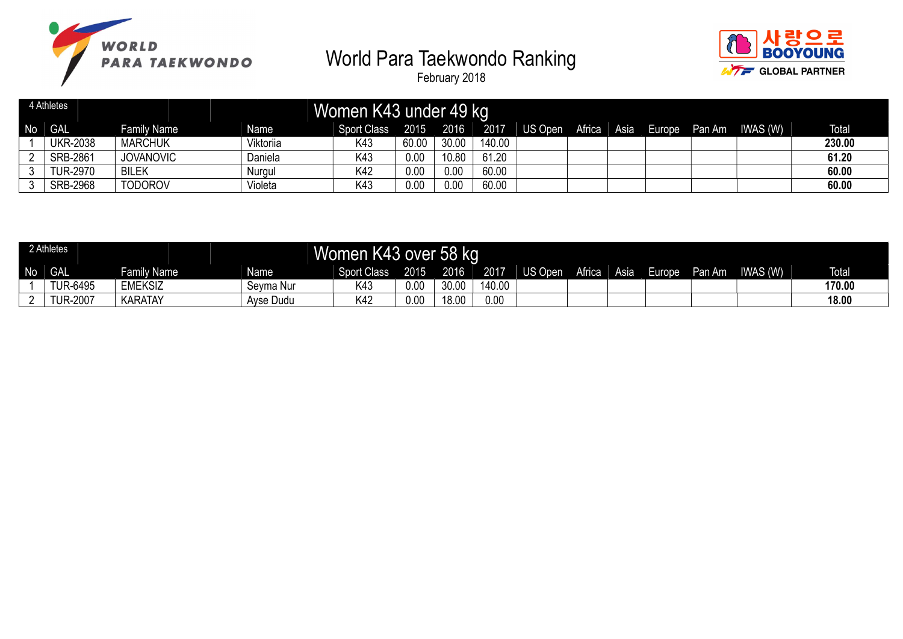



|    | 4 Athletes      |                    |           | Women K43 under 49 kg |       |       |        |         |        |      |               |          |              |
|----|-----------------|--------------------|-----------|-----------------------|-------|-------|--------|---------|--------|------|---------------|----------|--------------|
| No | <b>GAL</b>      | <b>Family Name</b> | Name      | <b>Sport Class</b>    | 2015  | 2016  | 2017   | US Open | Africa | Asia | Europe Pan Am | IWAS (W) | <b>Total</b> |
|    | UKR-2038        | <b>MARCHUK</b>     | Viktoriia | K43                   | 60.00 | 30.00 | 140.00 |         |        |      |               |          | 230.00       |
|    | <b>SRB-2861</b> | <b>JOVANOVIC</b>   | Daniela   | K43                   | 0.00  | 10.80 | 61.20  |         |        |      |               |          | 61.20        |
|    | <b>TUR-2970</b> | <b>BILEK</b>       | Nurgul    | K42                   | 0.00  | 0.00  | 60.00  |         |        |      |               |          | 60.00        |
|    | SRB-2968        | <b>TODOROV</b>     | Violeta   | K43                   | 0.00  | 0.00  | 60.00  |         |        |      |               |          | 60.00        |

|                | 2 Athletes      |                    |           | <b>Women</b>       |      | k43 over 58 kg د |        |         |        |      |        |        |          |              |
|----------------|-----------------|--------------------|-----------|--------------------|------|------------------|--------|---------|--------|------|--------|--------|----------|--------------|
| N <sub>o</sub> | <b>GAL</b>      | <b>Family Name</b> | Name      | <b>Sport Class</b> | 2015 | 2016             | 2017   | US Open | Africa | Asia | Europe | Pan Am | IWAS (W) | <b>Total</b> |
|                | <b>TUR-6495</b> | <b>EMEKSIZ</b>     | Seyma Nur | K43                | 0.00 | 30.00            | 140.00 |         |        |      |        |        |          | 170.00       |
|                | <b>TUR-2007</b> | <b>KARATAY</b>     | Ayse Dudu | K42                | 0.00 | 18.00            | 0.00   |         |        |      |        |        |          | 18.00        |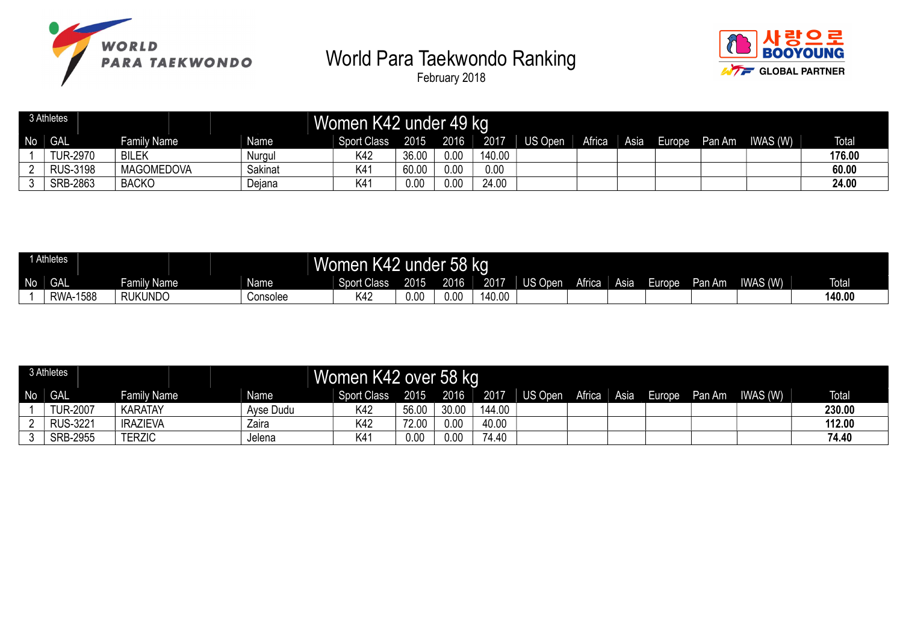





|    | 3 Athletes      |                    |         | Women K42 under 49 kg |       |      |        |         |        |        |        |        |          |              |
|----|-----------------|--------------------|---------|-----------------------|-------|------|--------|---------|--------|--------|--------|--------|----------|--------------|
| N٥ | <b>GAL</b>      | <b>Family Name</b> | Name    | <b>Sport Class</b>    | 2015  | 2016 | 2017   | US Open | Africa | Asia I | Europe | Pan Am | IWAS (W) | <b>Total</b> |
|    | <b>TUR-2970</b> | <b>BILEK</b>       | Nurgul  | K42                   | 36.00 | 0.00 | 140.00 |         |        |        |        |        |          | 176.00       |
|    | <b>RUS-3198</b> | <b>MAGOMEDOVA</b>  | Sakinat | K41                   | 60.00 | 0.00 | 0.00   |         |        |        |        |        |          | 60.00        |
|    | SRB-2863        | <b>BACKO</b>       | Dejana  | K41                   | 0.00  | 0.00 | 24.00  |         |        |        |        |        |          | 24.00        |

|    | Athletes        |                          |             | <b>K42 u</b><br><b>Women</b> | under : | <sup>1</sup> 58 kg |        |         |        |      |                    |        |          |              |
|----|-----------------|--------------------------|-------------|------------------------------|---------|--------------------|--------|---------|--------|------|--------------------|--------|----------|--------------|
| No | <b>GAL</b>      | Family Name <sup>1</sup> | <b>Name</b> | <b>Sport Class</b>           | 2015    | 2016               | 2017   | US Open | Africa | Asia | urope <sup>-</sup> | Pan Am | IWAS (W) | <b>Total</b> |
|    | <b>RWA-1588</b> | <b>RUKUNDO</b>           | Consolee    | K42                          | 0.00    | 0.00               | 140.00 |         |        |      |                    |        |          | 140.00       |

|    | 3 Athletes      |                    |                   | Women K42 over 58 kg |       |       |        |         |        |      |        |        |          |              |
|----|-----------------|--------------------|-------------------|----------------------|-------|-------|--------|---------|--------|------|--------|--------|----------|--------------|
| No | <b>GAL</b>      | <b>Family Name</b> | Name <sup>T</sup> | <b>Sport Class</b>   | 2015  | 2016  | 2017   | US Open | Africa | Asia | Europe | Pan Am | IWAS (W) | <b>Total</b> |
|    | <b>TUR-2007</b> | <b>KARATAY</b>     | Ayse Dudu         | K42                  | 56.00 | 30.00 | 144.00 |         |        |      |        |        |          | 230.00       |
|    | <b>RUS-3221</b> | <b>IRAZIEVA</b>    | Zaira             | K42                  | 72.00 | 0.00  | 40.00  |         |        |      |        |        |          | 112.00       |
|    | <b>SRB-2955</b> | <b>TERZIC</b>      | Jelena            | K41                  | 0.00  | 0.00  | 74.40  |         |        |      |        |        |          | 74.40        |